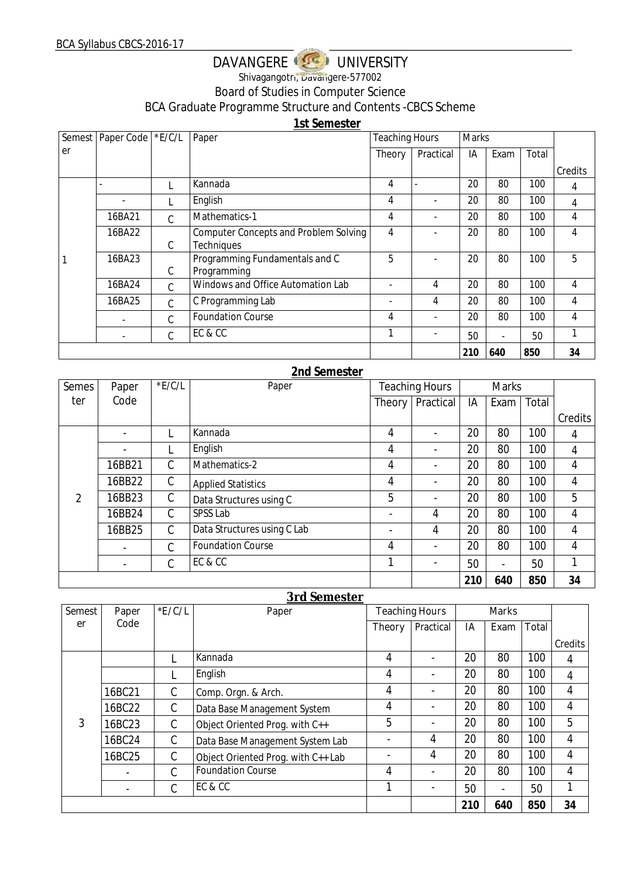# DAVANGERE USE UNIVERSITY Shivagangotri, Davangere-577002 Board of Studies in Computer Science

BCA Graduate Programme Structure and Contents -CBCS Scheme

**1st Semester**

|    | Semest   Paper Code   *E/C/L |               | Paper                                                      | <b>Teaching Hours</b> |                          | Marks |                          |       |         |
|----|------------------------------|---------------|------------------------------------------------------------|-----------------------|--------------------------|-------|--------------------------|-------|---------|
| er |                              |               |                                                            | Theory                | Practical                | IA    | Exam                     | Total |         |
|    |                              |               |                                                            |                       |                          |       |                          |       | Credits |
|    |                              |               | Kannada                                                    | 4                     |                          | 20    | 80                       | 100   | 4       |
|    |                              |               | English                                                    | 4                     |                          | 20    | 80                       | 100   | 4       |
|    | 16BA21                       | $\mathcal{C}$ | Mathematics-1                                              | 4                     |                          | 20    | 80                       | 100   | 4       |
|    | 16BA22                       | C             | <b>Computer Concepts and Problem Solving</b><br>Techniques | 4                     |                          | 20    | 80                       | 100   | 4       |
|    | 16BA23                       | C             | Programming Fundamentals and C<br>Programming              | 5                     |                          | 20    | 80                       | 100   | 5       |
|    | 16BA24                       | $\mathcal{C}$ | Windows and Office Automation Lab                          |                       | 4                        | 20    | 80                       | 100   | 4       |
|    | 16BA25                       | $\mathcal{C}$ | C Programming Lab                                          |                       | 4                        | 20    | 80                       | 100   | 4       |
|    |                              | C             | <b>Foundation Course</b>                                   | 4                     | $\overline{\phantom{a}}$ | 20    | 80                       | 100   | 4       |
|    |                              | C             | EC & CC                                                    | 1                     |                          | 50    | $\overline{\phantom{0}}$ | 50    |         |
|    |                              |               |                                                            |                       |                          | 210   | 640                      | 850   | 34      |

### **2nd Semester**

| Semes | Paper  | $*$ E/C/L | Paper                       |                          | <b>Teaching Hours</b><br><b>Marks</b> |     |                          |       |         |
|-------|--------|-----------|-----------------------------|--------------------------|---------------------------------------|-----|--------------------------|-------|---------|
| ter   | Code   |           |                             | Theory                   | Practical                             | IA  | Exam                     | Total |         |
|       |        |           |                             |                          |                                       |     |                          |       | Credits |
|       |        |           | Kannada                     | 4                        | $\overline{\phantom{0}}$              | 20  | 80                       | 100   | 4       |
|       |        |           | English                     | 4                        | $\overline{\phantom{0}}$              | 20  | 80                       | 100   | 4       |
|       | 16BB21 | C         | Mathematics-2               | 4                        | $\overline{\phantom{0}}$              | 20  | 80                       | 100   | 4       |
|       | 16BB22 | C         | <b>Applied Statistics</b>   | 4                        | $\overline{\phantom{a}}$              | 20  | 80                       | 100   | 4       |
| 2     | 16BB23 | C         | Data Structures using C     | 5                        | $\overline{\phantom{a}}$              | 20  | 80                       | 100   | 5       |
|       | 16BB24 | C         | SPSS Lab                    | $\overline{\phantom{0}}$ | 4                                     | 20  | 80                       | 100   | 4       |
|       | 16BB25 | C         | Data Structures using C Lab | $\overline{\phantom{0}}$ | 4                                     | 20  | 80                       | 100   | 4       |
|       |        | C         | <b>Foundation Course</b>    | 4                        | $\overline{\phantom{a}}$              | 20  | 80                       | 100   | 4       |
|       |        | С         | EC & CC                     | 1                        | $\overline{\phantom{a}}$              | 50  | $\overline{\phantom{a}}$ | 50    |         |
|       |        |           |                             |                          |                                       | 210 | 640                      | 850   | 34      |

#### **3rd Semester**

| <b>Semest</b> | Paper  | E/C/L | Paper                              |                          | <b>Teaching Hours</b>    | Marks |                          |       |                |
|---------------|--------|-------|------------------------------------|--------------------------|--------------------------|-------|--------------------------|-------|----------------|
| er            | Code   |       |                                    | Theory                   | Practical                | IA    | Exam                     | Total |                |
|               |        |       |                                    |                          |                          |       |                          |       | Credits        |
|               |        |       | Kannada                            | 4                        |                          | 20    | 80                       | 100   | 4              |
|               |        |       | English                            | 4                        | $\overline{\phantom{0}}$ | 20    | 80                       | 100   | $\overline{4}$ |
|               | 16BC21 | С     | Comp. Orgn. & Arch.                | 4                        | $\overline{\phantom{0}}$ | 20    | 80                       | 100   | 4              |
|               | 16BC22 | C     | Data Base Management System        | 4                        |                          | 20    | 80                       | 100   | $\overline{4}$ |
| 3             | 16BC23 | С     | Object Oriented Prog. with C++     | 5                        |                          | 20    | 80                       | 100   | 5              |
|               | 16BC24 | C     | Data Base Management System Lab    | $\overline{\phantom{a}}$ | 4                        | 20    | 80                       | 100   | 4              |
|               | 16BC25 | C     | Object Oriented Prog. with C++ Lab | $\overline{\phantom{a}}$ | 4                        | 20    | 80                       | 100   | 4              |
|               |        | C     | <b>Foundation Course</b>           | 4                        |                          | 20    | 80                       | 100   | 4              |
|               |        | С     | EC & CC                            | 1                        | $\overline{\phantom{a}}$ | 50    | $\overline{\phantom{0}}$ | 50    |                |
|               |        |       |                                    |                          |                          | 210   | 640                      | 850   | 34             |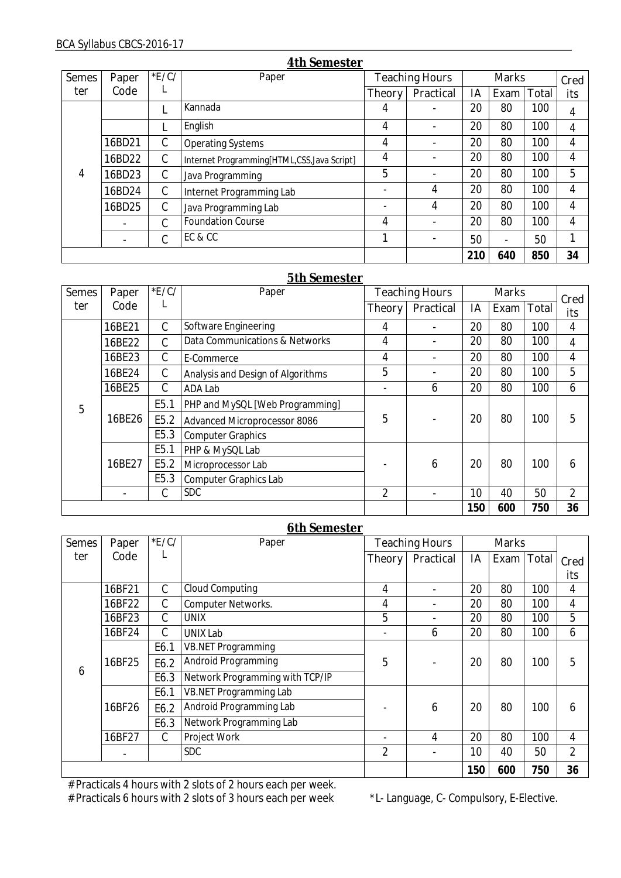| <b>Semes</b> | Paper  | E/C/ | Paper                                       |                            | <b>Teaching Hours</b>    | <b>Marks</b> |                          |       | Cred |  |
|--------------|--------|------|---------------------------------------------|----------------------------|--------------------------|--------------|--------------------------|-------|------|--|
| ter          | Code   | L    |                                             | <b>Theory</b><br>Practical |                          | IA           | Exam                     | Total | its  |  |
|              |        |      | Kannada                                     | 4                          |                          | 20           | 80                       | 100   | 4    |  |
|              |        |      | English                                     | 4                          | $\overline{\phantom{0}}$ | 20           | 80                       | 100   | 4    |  |
|              | 16BD21 | C    | <b>Operating Systems</b>                    | 4                          |                          | 20           | 80                       | 100   | 4    |  |
|              | 16BD22 | C    | Internet Programming[HTML,CSS, Java Script] | 4                          |                          | 20           | 80                       | 100   | 4    |  |
| 4            | 16BD23 | C    | Java Programming                            | 5                          |                          | 20           | 80                       | 100   | 5    |  |
|              | 16BD24 | C    | Internet Programming Lab                    |                            | 4                        | 20           | 80                       | 100   | 4    |  |
|              | 16BD25 | C    | Java Programming Lab                        |                            | 4                        | 20           | 80                       | 100   | 4    |  |
|              |        | C    | <b>Foundation Course</b>                    | 4                          |                          | 20           | 80                       | 100   | 4    |  |
|              |        | C    | EC&CC                                       |                            |                          | 50           | $\overline{\phantom{0}}$ | 50    |      |  |
|              |        |      |                                             |                            |                          | 210          | 640                      | 850   | 34   |  |

## **5th Semester**

| <b>Semes</b> | Paper     | E/C/             | Paper                             | <b>Teaching Hours</b> |           | <b>Marks</b> |            |     | Cred           |
|--------------|-----------|------------------|-----------------------------------|-----------------------|-----------|--------------|------------|-----|----------------|
| ter          | L<br>Code |                  |                                   | <b>Theory</b>         | Practical | IA           | Exam Total |     | its            |
|              | 16BE21    | C                | Software Engineering              | 4                     |           | 20           | 80         | 100 | 4              |
| 5            | 16BE22    | C                | Data Communications & Networks    | 4                     |           | 20           | 80         | 100 | 4              |
|              | 16BE23    | C                | E-Commerce                        | 4                     |           | 20           | 80         | 100 | 4              |
|              | 16BE24    | $\mathcal{C}$    | Analysis and Design of Algorithms | 5                     |           | 20           | 80         | 100 | 5              |
|              | 16BE25    | C                | ADA Lab                           |                       | 6         | 20           | 80         | 100 | 6              |
|              | 16BE26    | E <sub>5.1</sub> | PHP and MySQL [Web Programming]   | 5                     |           | 20           | 80         | 100 | 5              |
|              |           | E5.2             | Advanced Microprocessor 8086      |                       |           |              |            |     |                |
|              |           | E <sub>5.3</sub> | <b>Computer Graphics</b>          |                       |           |              |            |     |                |
|              |           | E <sub>5.1</sub> | PHP & MySQL Lab                   |                       |           |              |            |     |                |
|              | 16BE27    | E5.2             | Microprocessor Lab                |                       | 6         | 20           | 80         | 100 | 6              |
|              |           | E5.3             | <b>Computer Graphics Lab</b>      |                       |           |              |            |     |                |
|              |           | С                | <b>SDC</b>                        | $\overline{2}$        |           | 10           | 40         | 50  | $\overline{2}$ |
|              |           |                  |                                   |                       |           | 150          | 600        | 750 | 36             |

#### **6th Semester**

| <b>Semes</b> | Paper  | E/C/          | <u>oui bomobel</u><br>Paper     |                | <b>Teaching Hours</b> | <b>Marks</b> |            |     |                |
|--------------|--------|---------------|---------------------------------|----------------|-----------------------|--------------|------------|-----|----------------|
| ter          | Code   | L             |                                 | <b>Theory</b>  | Practical             | IA           | Exam Total |     | Cred           |
|              |        |               |                                 |                |                       |              |            |     | its            |
|              | 16BF21 | C             | Cloud Computing                 | 4              |                       | 20           | 80         | 100 | 4              |
|              | 16BF22 | C             | <b>Computer Networks.</b>       | 4              |                       | 20           | 80         | 100 | 4              |
|              | 16BF23 | $\mathcal{C}$ | <b>UNIX</b>                     | 5              |                       | 20           | 80         | 100 | 5              |
|              | 16BF24 | C             | <b>UNIX Lab</b>                 |                | 6                     | 20           | 80         | 100 | 6              |
|              | 16BF25 | E6.1          | <b>VB.NET Programming</b>       | 5              |                       | 20           | 80         | 100 | 5              |
|              |        | E6.2          | Android Programming             |                |                       |              |            |     |                |
| 6            |        | E6.3          | Network Programming with TCP/IP |                |                       |              |            |     |                |
|              |        | E6.1          | VB.NET Programming Lab          |                |                       |              |            |     |                |
|              | 16BF26 | E6.2          | Android Programming Lab         |                | 6                     | 20           | 80         | 100 | 6              |
|              |        | E6.3          | Network Programming Lab         |                |                       |              |            |     |                |
|              | 16BF27 | C             | Project Work                    |                | 4                     | 20           | 80         | 100 | 4              |
|              |        |               | <b>SDC</b>                      | $\overline{2}$ |                       | 10           | 40         | 50  | $\overline{2}$ |
|              |        |               |                                 |                |                       | 150          | 600        | 750 | 36             |

# Practicals 4 hours with 2 slots of 2 hours each per week.

# Practicals 6 hours with 2 slots of 3 hours each per week \*L- Language, C- Compulsory, E-Elective.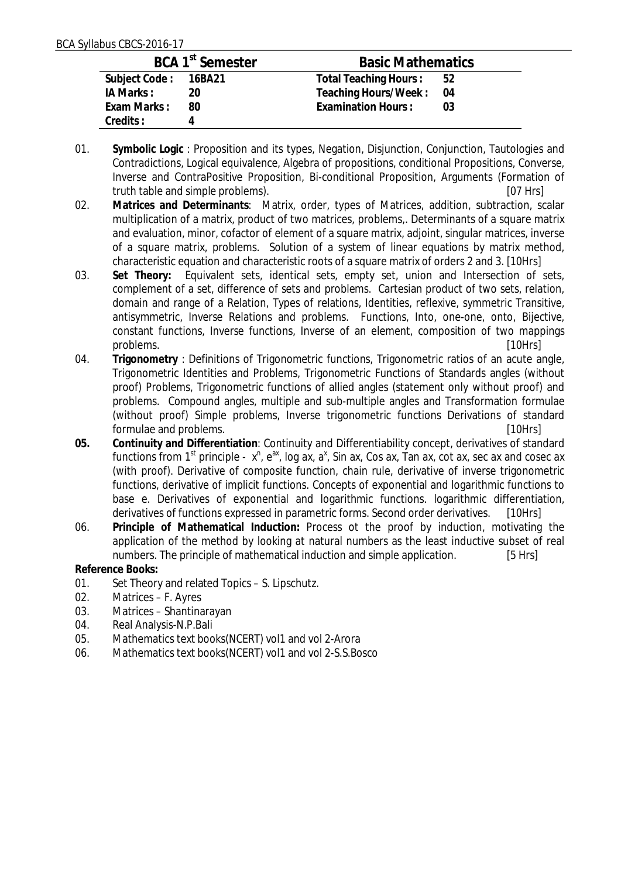|                      | BCA 1 <sup>st</sup> Semester | <b>Basic Mathematics</b> |      |  |  |
|----------------------|------------------------------|--------------------------|------|--|--|
| Subject Code: 16BA21 |                              | Total Teaching Hours: 52 |      |  |  |
| IA Marks :           | 20                           | Teaching Hours/Week:     | - 04 |  |  |
| Exam Marks:          | 80                           | Examination Hours:       | በ3   |  |  |
| Credits:             |                              |                          |      |  |  |

- 01. **Symbolic Logic** : Proposition and its types, Negation, Disjunction, Conjunction, Tautologies and Contradictions, Logical equivalence, Algebra of propositions, conditional Propositions, Converse, Inverse and ContraPositive Proposition, Bi-conditional Proposition, Arguments (Formation of truth table and simple problems). [07 Hrs]
- 02. **Matrices and Determinants**: Matrix, order, types of Matrices, addition, subtraction, scalar multiplication of a matrix, product of two matrices, problems,. Determinants of a square matrix and evaluation, minor, cofactor of element of a square matrix, adjoint, singular matrices, inverse of a square matrix, problems. Solution of a system of linear equations by matrix method, characteristic equation and characteristic roots of a square matrix of orders 2 and 3. [10Hrs]
- 03. **Set Theory:** Equivalent sets, identical sets, empty set, union and Intersection of sets, complement of a set, difference of sets and problems. Cartesian product of two sets, relation, domain and range of a Relation, Types of relations, Identities, reflexive, symmetric Transitive, antisymmetric, Inverse Relations and problems. Functions, Into, one-one, onto, Bijective, constant functions, Inverse functions, Inverse of an element, composition of two mappings problems. [10Hrs]
- 04. **Trigonometry** : Definitions of Trigonometric functions, Trigonometric ratios of an acute angle, Trigonometric Identities and Problems, Trigonometric Functions of Standards angles (without proof) Problems, Trigonometric functions of allied angles (statement only without proof) and problems. Compound angles, multiple and sub-multiple angles and Transformation formulae (without proof) Simple problems, Inverse trigonometric functions Derivations of standard formulae and problems. [10Hrs]
- **05. Continuity and Differentiation**: Continuity and Differentiability concept, derivatives of standard functions from 1<sup>st</sup> principle -  $x^n$ ,  $e^{ax}$ , log ax,  $a^x$ , Sin ax, Cos ax, Tan ax, cot ax, sec ax and cosec ax (with proof). Derivative of composite function, chain rule, derivative of inverse trigonometric functions, derivative of implicit functions. Concepts of exponential and logarithmic functions to base e. Derivatives of exponential and logarithmic functions. logarithmic differentiation, derivatives of functions expressed in parametric forms. Second order derivatives. [10Hrs]
- 06. **Principle of Mathematical Induction:** Process ot the proof by induction, motivating the application of the method by looking at natural numbers as the least inductive subset of real numbers. The principle of mathematical induction and simple application. [5 Hrs]

**Reference Books:** 

- 01. Set Theory and related Topics S. Lipschutz.
- 02. Matrices F. Ayres
- 03. Matrices Shantinarayan
- 04. Real Analysis-N.P.Bali
- 05. Mathematics text books(NCERT) vol1 and vol 2-Arora
- 06. Mathematics text books(NCERT) vol1 and vol 2-S.S.Bosco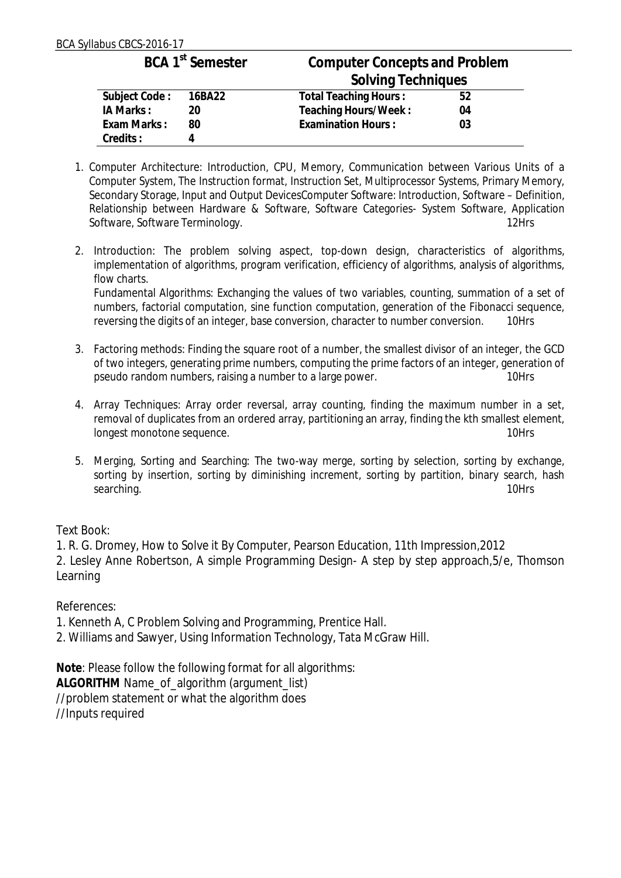|                      | BCA 1 <sup>st</sup> Semester | <b>Computer Concepts and Problem</b> |    |  |
|----------------------|------------------------------|--------------------------------------|----|--|
|                      |                              | <b>Solving Techniques</b>            |    |  |
| Subject Code: 16BA22 |                              | Total Teaching Hours:                | 52 |  |
| IA Marks:            | 20                           | Teaching Hours/Week:                 | 04 |  |
| Exam Marks:          | 80                           | <b>Examination Hours:</b>            | 03 |  |
| Credits:             | 4                            |                                      |    |  |

- 1. Computer Architecture: Introduction, CPU, Memory, Communication between Various Units of a Computer System, The Instruction format, Instruction Set, Multiprocessor Systems, Primary Memory, Secondary Storage, Input and Output DevicesComputer Software: Introduction, Software – Definition, Relationship between Hardware & Software, Software Categories- System Software, Application<br>Software Software Terminology Software, Software Terminology.
- 2. Introduction: The problem solving aspect, top-down design, characteristics of algorithms, implementation of algorithms, program verification, efficiency of algorithms, analysis of algorithms, flow charts.

Fundamental Algorithms: Exchanging the values of two variables, counting, summation of a set of numbers, factorial computation, sine function computation, generation of the Fibonacci sequence, reversing the digits of an integer, base conversion, character to number conversion. 10Hrs

- 3. Factoring methods: Finding the square root of a number, the smallest divisor of an integer, the GCD of two integers, generating prime numbers, computing the prime factors of an integer, generation of pseudo random numbers, raising a number to a large power.
- 4. Array Techniques: Array order reversal, array counting, finding the maximum number in a set, removal of duplicates from an ordered array, partitioning an array, finding the kth smallest element, longest monotone sequence. 10Hrs
- 5. Merging, Sorting and Searching: The two-way merge, sorting by selection, sorting by exchange, sorting by insertion, sorting by diminishing increment, sorting by partition, binary search, hash searching. 10Hrs

## Text Book:

1. R. G. Dromey, How to Solve it By Computer, Pearson Education, 11th Impression,2012

2. Lesley Anne Robertson, A simple Programming Design- A step by step approach,5/e, Thomson Learning

## References:

- 1. Kenneth A, C Problem Solving and Programming, Prentice Hall.
- 2. Williams and Sawyer, Using Information Technology, Tata McGraw Hill.

**Note**: Please follow the following format for all algorithms: **ALGORITHM** Name\_of\_algorithm (argument\_list) //problem statement or what the algorithm does //Inputs required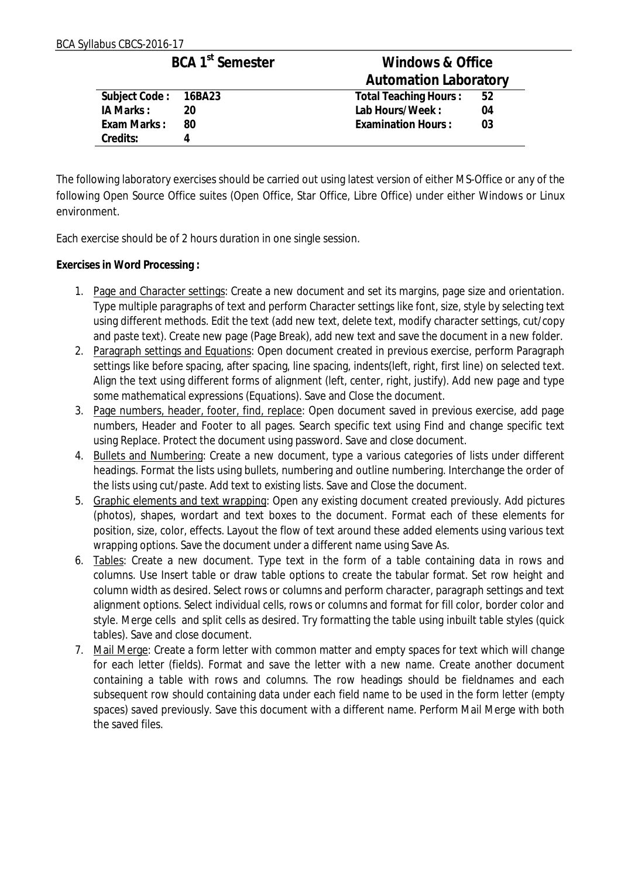|                      | BCA 1 <sup>st</sup> Semester | Windows & Office             |                |  |  |  |
|----------------------|------------------------------|------------------------------|----------------|--|--|--|
|                      |                              | <b>Automation Laboratory</b> |                |  |  |  |
| Subject Code: 16BA23 |                              | Total Teaching Hours:        | 52             |  |  |  |
| IA Marks:            | 20                           | Lab Hours/Week:              | 04             |  |  |  |
| Exam Marks:          | - 80                         | <b>Examination Hours:</b>    | 0 <sub>3</sub> |  |  |  |
| Credits:             | 4                            |                              |                |  |  |  |

The following laboratory exercises should be carried out using latest version of either MS-Office or any of the following Open Source Office suites (Open Office, Star Office, Libre Office) under either Windows or Linux environment.

Each exercise should be of 2 hours duration in one single session.

**Exercises in Word Processing :**

- 1. Page and Character settings: Create a new document and set its margins, page size and orientation. Type multiple paragraphs of text and perform Character settings like font, size, style by selecting text using different methods. Edit the text (add new text, delete text, modify character settings, cut/copy and paste text). Create new page (Page Break), add new text and save the document in a new folder.
- 2. Paragraph settings and Equations: Open document created in previous exercise, perform Paragraph settings like before spacing, after spacing, line spacing, indents(left, right, first line) on selected text. Align the text using different forms of alignment (left, center, right, justify). Add new page and type some mathematical expressions (Equations). Save and Close the document.
- 3. Page numbers, header, footer, find, replace: Open document saved in previous exercise, add page numbers, Header and Footer to all pages. Search specific text using Find and change specific text using Replace. Protect the document using password. Save and close document.
- 4. Bullets and Numbering: Create a new document, type a various categories of lists under different headings. Format the lists using bullets, numbering and outline numbering. Interchange the order of the lists using cut/paste. Add text to existing lists. Save and Close the document.
- 5. Graphic elements and text wrapping: Open any existing document created previously. Add pictures (photos), shapes, wordart and text boxes to the document. Format each of these elements for position, size, color, effects. Layout the flow of text around these added elements using various text wrapping options. Save the document under a different name using Save As.
- 6. Tables: Create a new document. Type text in the form of a table containing data in rows and columns. Use Insert table or draw table options to create the tabular format. Set row height and column width as desired. Select rows or columns and perform character, paragraph settings and text alignment options. Select individual cells, rows or columns and format for fill color, border color and style. Merge cells and split cells as desired. Try formatting the table using inbuilt table styles (quick tables). Save and close document.
- 7. Mail Merge: Create a form letter with common matter and empty spaces for text which will change for each letter (fields). Format and save the letter with a new name. Create another document containing a table with rows and columns. The row headings should be fieldnames and each subsequent row should containing data under each field name to be used in the form letter (empty spaces) saved previously. Save this document with a different name. Perform Mail Merge with both the saved files.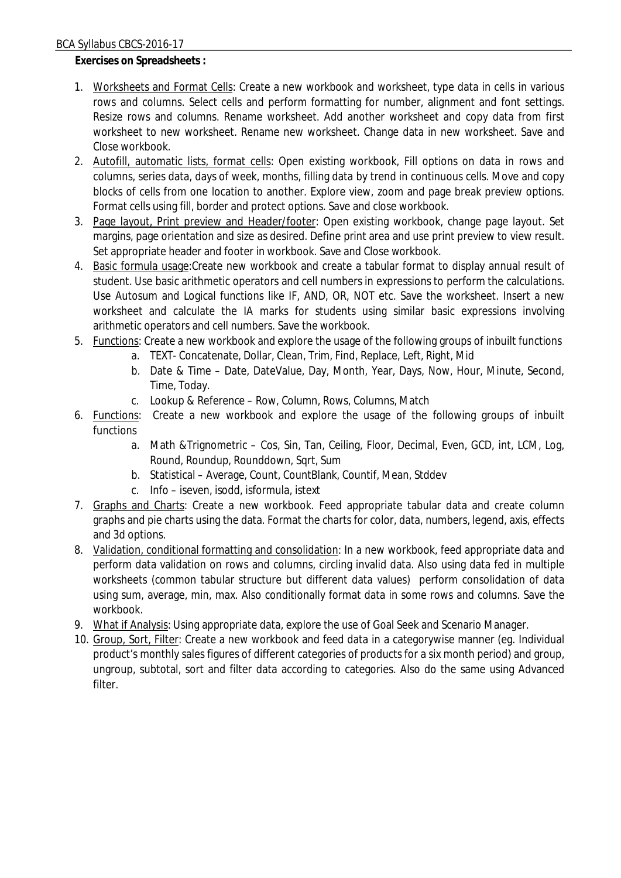**Exercises on Spreadsheets :**

- 1. Worksheets and Format Cells: Create a new workbook and worksheet, type data in cells in various rows and columns. Select cells and perform formatting for number, alignment and font settings. Resize rows and columns. Rename worksheet. Add another worksheet and copy data from first worksheet to new worksheet. Rename new worksheet. Change data in new worksheet. Save and Close workbook.
- 2. Autofill, automatic lists, format cells: Open existing workbook, Fill options on data in rows and columns, series data, days of week, months, filling data by trend in continuous cells. Move and copy blocks of cells from one location to another. Explore view, zoom and page break preview options. Format cells using fill, border and protect options. Save and close workbook.
- 3. Page layout, Print preview and Header/footer: Open existing workbook, change page layout. Set margins, page orientation and size as desired. Define print area and use print preview to view result. Set appropriate header and footer in workbook. Save and Close workbook.
- 4. Basic formula usage:Create new workbook and create a tabular format to display annual result of student. Use basic arithmetic operators and cell numbers in expressions to perform the calculations. Use Autosum and Logical functions like IF, AND, OR, NOT etc. Save the worksheet. Insert a new worksheet and calculate the IA marks for students using similar basic expressions involving arithmetic operators and cell numbers. Save the workbook.
- 5. Functions: Create a new workbook and explore the usage of the following groups of inbuilt functions
	- a. TEXT- Concatenate, Dollar, Clean, Trim, Find, Replace, Left, Right, Mid
	- b. Date & Time Date, DateValue, Day, Month, Year, Days, Now, Hour, Minute, Second, Time, Today.
	- c. Lookup & Reference Row, Column, Rows, Columns, Match
- 6. Functions: Create a new workbook and explore the usage of the following groups of inbuilt functions
	- a. Math &Trignometric Cos, Sin, Tan, Ceiling, Floor, Decimal, Even, GCD, int, LCM, Log, Round, Roundup, Rounddown, Sqrt, Sum
	- b. Statistical Average, Count, CountBlank, Countif, Mean, Stddev
	- c. Info iseven, isodd, isformula, istext
- 7. Graphs and Charts: Create a new workbook. Feed appropriate tabular data and create column graphs and pie charts using the data. Format the charts for color, data, numbers, legend, axis, effects and 3d options.
- 8. Validation, conditional formatting and consolidation: In a new workbook, feed appropriate data and perform data validation on rows and columns, circling invalid data. Also using data fed in multiple worksheets (common tabular structure but different data values) perform consolidation of data using sum, average, min, max. Also conditionally format data in some rows and columns. Save the workbook.
- 9. What if Analysis: Using appropriate data, explore the use of Goal Seek and Scenario Manager.
- 10. Group, Sort, Filter: Create a new workbook and feed data in a categorywise manner (eg. Individual product's monthly sales figures of different categories of products for a six month period) and group, ungroup, subtotal, sort and filter data according to categories. Also do the same using Advanced filter.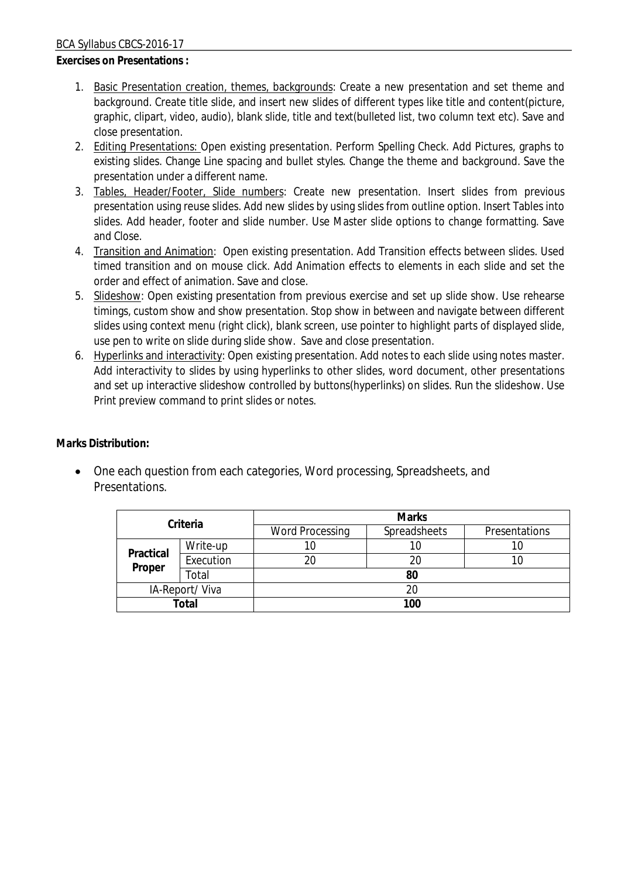**Exercises on Presentations :**

- 1. Basic Presentation creation, themes, backgrounds: Create a new presentation and set theme and background. Create title slide, and insert new slides of different types like title and content(picture, graphic, clipart, video, audio), blank slide, title and text(bulleted list, two column text etc). Save and close presentation.
- 2. Editing Presentations: Open existing presentation. Perform Spelling Check. Add Pictures, graphs to existing slides. Change Line spacing and bullet styles. Change the theme and background. Save the presentation under a different name.
- 3. Tables, Header/Footer, Slide numbers: Create new presentation. Insert slides from previous presentation using reuse slides. Add new slides by using slides from outline option. Insert Tables into slides. Add header, footer and slide number. Use Master slide options to change formatting. Save and Close.
- 4. Transition and Animation: Open existing presentation. Add Transition effects between slides. Used timed transition and on mouse click. Add Animation effects to elements in each slide and set the order and effect of animation. Save and close.
- 5. Slideshow: Open existing presentation from previous exercise and set up slide show. Use rehearse timings, custom show and show presentation. Stop show in between and navigate between different slides using context menu (right click), blank screen, use pointer to highlight parts of displayed slide, use pen to write on slide during slide show. Save and close presentation.
- 6. Hyperlinks and interactivity: Open existing presentation. Add notes to each slide using notes master. Add interactivity to slides by using hyperlinks to other slides, word document, other presentations and set up interactive slideshow controlled by buttons(hyperlinks) on slides. Run the slideshow. Use Print preview command to print slides or notes.

**Marks Distribution:**

■ One each question from each categories, Word processing, Spreadsheets, and Presentations.

| Criteria            |           | <b>Marks</b>           |              |               |  |  |
|---------------------|-----------|------------------------|--------------|---------------|--|--|
|                     |           | <b>Word Processing</b> | Spreadsheets | Presentations |  |  |
| Practical<br>Proper | Write-up  | 10                     | 10           | 10            |  |  |
|                     | Execution | 20                     | 20           |               |  |  |
|                     | Total     | 80                     |              |               |  |  |
| IA-Report/Viva      |           | 20                     |              |               |  |  |
| Total               |           | 100                    |              |               |  |  |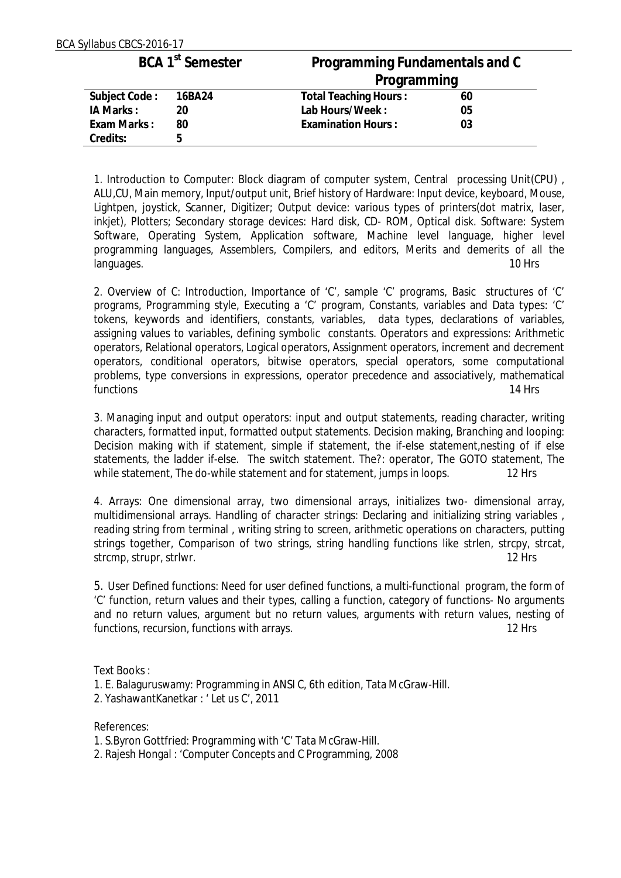| BCA Syllabus CBCS-2016-17 |                              |                                |    |  |
|---------------------------|------------------------------|--------------------------------|----|--|
|                           | BCA 1 <sup>st</sup> Semester | Programming Fundamentals and C |    |  |
|                           |                              | Programming                    |    |  |
| Subject Code:             | 16BA24                       | <b>Total Teaching Hours:</b>   | 60 |  |
| IA Marks:                 | 20                           | Lab Hours/Week:                | 05 |  |
| Exam Marks:               | 80                           | <b>Examination Hours:</b>      | 03 |  |
| Credits:                  | 5                            |                                |    |  |

1. Introduction to Computer: Block diagram of computer system, Central processing Unit(CPU) , ALU,CU, Main memory, Input/output unit, Brief history of Hardware: Input device, keyboard, Mouse, Lightpen, joystick, Scanner, Digitizer; Output device: various types of printers(dot matrix, laser, inkjet), Plotters; Secondary storage devices: Hard disk, CD- ROM, Optical disk. Software: System Software, Operating System, Application software, Machine level language, higher level programming languages, Assemblers, Compilers, and editors, Merits and demerits of all the languages. 10 Hrs

2. Overview of C: Introduction, Importance of 'C', sample 'C' programs, Basic structures of 'C' programs, Programming style, Executing a 'C' program, Constants, variables and Data types: 'C' tokens, keywords and identifiers, constants, variables, data types, declarations of variables, assigning values to variables, defining symbolic constants. Operators and expressions: Arithmetic operators, Relational operators, Logical operators, Assignment operators, increment and decrement operators, conditional operators, bitwise operators, special operators, some computational problems, type conversions in expressions, operator precedence and associatively, mathematical functions 14 Hrs

3. Managing input and output operators: input and output statements, reading character, writing characters, formatted input, formatted output statements. Decision making, Branching and looping: Decision making with if statement, simple if statement, the if-else statement,nesting of if else statements, the ladder if-else. The switch statement. The?: operator, The GOTO statement, The while statement, The do-while statement and for statement, jumps in loops. 12 Hrs

4. Arrays: One dimensional array, two dimensional arrays, initializes two- dimensional array, multidimensional arrays. Handling of character strings: Declaring and initializing string variables , reading string from terminal , writing string to screen, arithmetic operations on characters, putting strings together, Comparison of two strings, string handling functions like strlen, strcpy, strcat, strcmp, strupr, strlwr. 12 Hrs

5. User Defined functions: Need for user defined functions, a multi-functional program, the form of 'C' function, return values and their types, calling a function, category of functions- No arguments and no return values, argument but no return values, arguments with return values, nesting of functions, recursion, functions with arrays. The state of the state of the state of the state of the state of the state of the state of the state of the state of the state of the state of the state of the state of the stat

Text Books :

- 1. E. Balaguruswamy: Programming in ANSI C, 6th edition, Tata McGraw-Hill.
- 2. YashawantKanetkar : ' Let us C', 2011

References:

- 1. S.Byron Gottfried: Programming with 'C' Tata McGraw-Hill.
- 2. Rajesh Hongal : 'Computer Concepts and C Programming, 2008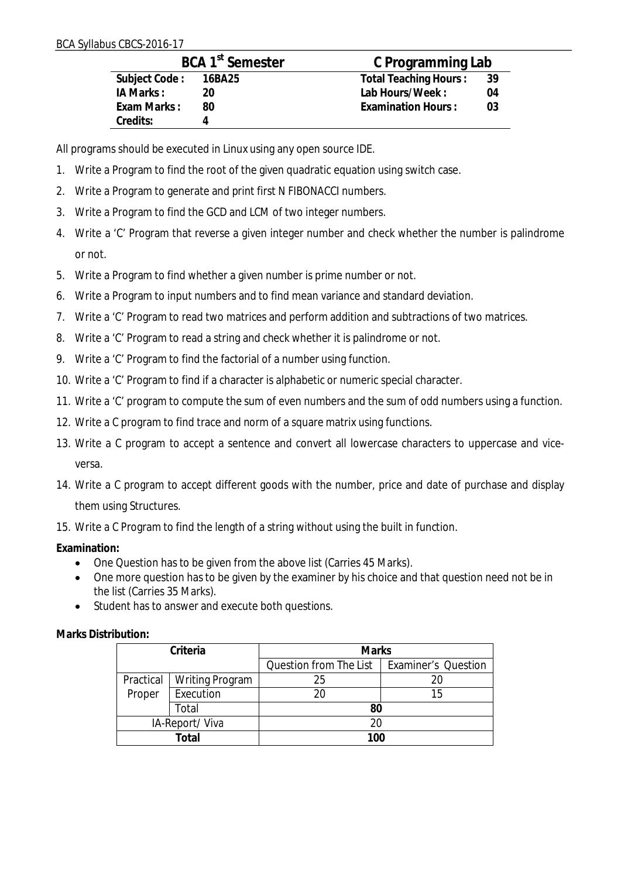|               | BCA 1 <sup>st</sup> Semester | C Programming Lab         |     |  |  |  |
|---------------|------------------------------|---------------------------|-----|--|--|--|
| Subject Code: | 16BA25                       | Total Teaching Hours:     | -39 |  |  |  |
| IA Marks:     | 20                           | Lab Hours/Week:           | 04  |  |  |  |
| Exam Marks:   | 80                           | <b>Examination Hours:</b> | 03  |  |  |  |
| Credits:      |                              |                           |     |  |  |  |

All programs should be executed in Linux using any open source IDE.

- 1. Write a Program to find the root of the given quadratic equation using switch case.
- 2. Write a Program to generate and print first N FIBONACCI numbers.
- 3. Write a Program to find the GCD and LCM of two integer numbers.
- 4. Write a 'C' Program that reverse a given integer number and check whether the number is palindrome or not.
- 5. Write a Program to find whether a given number is prime number or not.
- 6. Write a Program to input numbers and to find mean variance and standard deviation.
- 7. Write a 'C' Program to read two matrices and perform addition and subtractions of two matrices.
- 8. Write a 'C' Program to read a string and check whether it is palindrome or not.
- 9. Write a 'C' Program to find the factorial of a number using function.
- 10. Write a 'C' Program to find if a character is alphabetic or numeric special character.
- 11. Write a 'C' program to compute the sum of even numbers and the sum of odd numbers using a function.
- 12. Write a C program to find trace and norm of a square matrix using functions.
- 13. Write a C program to accept a sentence and convert all lowercase characters to uppercase and viceversa.
- 14. Write a C program to accept different goods with the number, price and date of purchase and display them using Structures.

15. Write a C Program to find the length of a string without using the built in function.

**Examination:**

- One Question has to be given from the above list (Carries 45 Marks).
- One more question has to be given by the examiner by his choice and that question need not be in the list (Carries 35 Marks).
- Student has to answer and execute both questions.

| Criteria       |                 | <b>Marks</b>           |                            |  |
|----------------|-----------------|------------------------|----------------------------|--|
|                |                 | Question from The List | <b>Examiner's Question</b> |  |
| Practical      | Writing Program | 25                     |                            |  |
| Proper         | Execution       | 20                     | 15                         |  |
| Total          |                 |                        |                            |  |
| IA-Report/Viva |                 | 20                     |                            |  |
|                | Total           | 100                    |                            |  |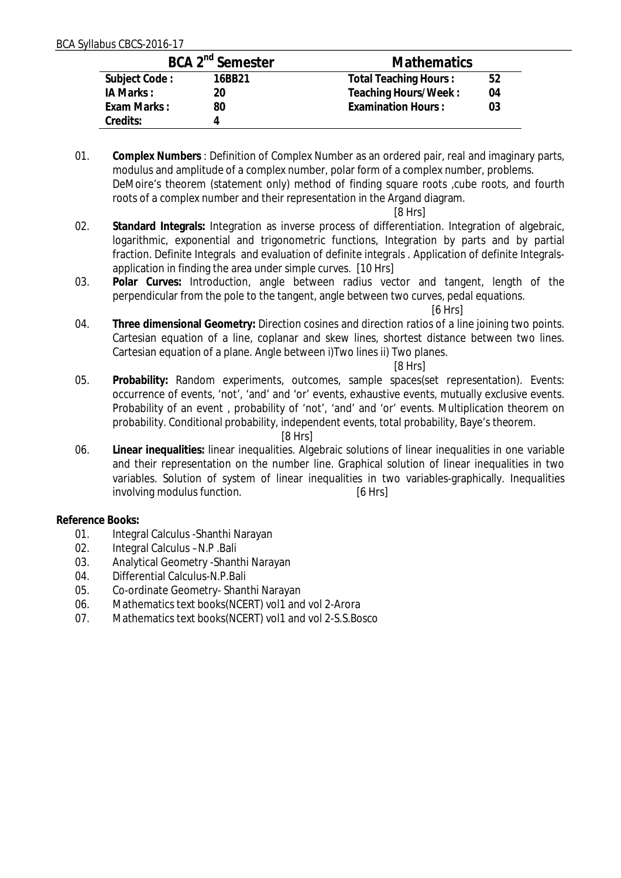| BCA 2 <sup>nd</sup> Semester |        | <b>Mathematics</b>          |  |  |
|------------------------------|--------|-----------------------------|--|--|
| Subject Code:                | 16BB21 | Total Teaching Hours:<br>52 |  |  |
| IA Marks:                    | 20     | Teaching Hours/Week:<br>04  |  |  |
| Exam Marks:                  | 80     | Examination Hours:<br>03    |  |  |
| Credits:                     |        |                             |  |  |

01. **Complex Numbers** : Definition of Complex Number as an ordered pair, real and imaginary parts, modulus and amplitude of a complex number, polar form of a complex number, problems. DeMoire's theorem (statement only) method of finding square roots , cube roots, and fourth roots of a complex number and their representation in the Argand diagram.

[8 Hrs]

- 02. **Standard Integrals:** Integration as inverse process of differentiation. Integration of algebraic, logarithmic, exponential and trigonometric functions, Integration by parts and by partial fraction. Definite Integrals and evaluation of definite integrals . Application of definite Integralsapplication in finding the area under simple curves. [10 Hrs]
- 03. **Polar Curves:** Introduction, angle between radius vector and tangent, length of the perpendicular from the pole to the tangent, angle between two curves, pedal equations.

#### [6 Hrs]

04. **Three dimensional Geometry:** Direction cosines and direction ratios of a line joining two points. Cartesian equation of a line, coplanar and skew lines, shortest distance between two lines. Cartesian equation of a plane. Angle between i)Two lines ii) Two planes.

#### [8 Hrs]

05. **Probability:** Random experiments, outcomes, sample spaces(set representation). Events: occurrence of events, 'not', 'and' and 'or' events, exhaustive events, mutually exclusive events. Probability of an event , probability of 'not', 'and' and 'or' events. Multiplication theorem on probability. Conditional probability, independent events, total probability, Baye's theorem.

#### [8 Hrs]

06. **Linear inequalities:** linear inequalities. Algebraic solutions of linear inequalities in one variable and their representation on the number line. Graphical solution of linear inequalities in two variables. Solution of system of linear inequalities in two variables-graphically. Inequalities involving modulus function. [6 Hrs]

**Reference Books:**

- 01. Integral Calculus -Shanthi Narayan
- 02. Integral Calculus –N.P .Bali
- 03. Analytical Geometry -Shanthi Narayan
- 04. Differential Calculus-N.P.Bali
- 05. Co-ordinate Geometry- Shanthi Narayan
- 06. Mathematics text books(NCERT) vol1 and vol 2-Arora
- 07. Mathematics text books(NCERT) vol1 and vol 2-S.S.Bosco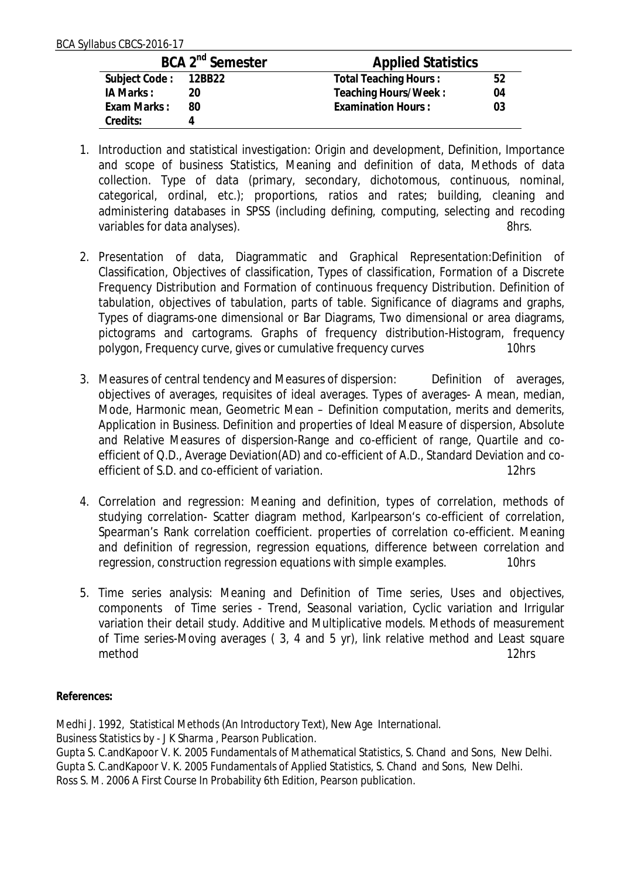| BCA 2 <sup>nd</sup> Semester |    | <b>Applied Statistics</b> |    |  |
|------------------------------|----|---------------------------|----|--|
| Subject Code: 12BB22         |    | Total Teaching Hours:     | 52 |  |
| IA Marks :                   | 20 | Teaching Hours/Week:      | 04 |  |
| Exam Marks:                  | 80 | <b>Examination Hours:</b> | 03 |  |
| Credits:                     |    |                           |    |  |

- 1. Introduction and statistical investigation: Origin and development, Definition, Importance and scope of business Statistics, Meaning and definition of data, Methods of data collection. Type of data (primary, secondary, dichotomous, continuous, nominal, categorical, ordinal, etc.); proportions, ratios and rates; building, cleaning and administering databases in SPSS (including defining, computing, selecting and recoding variables for data analyses).
- 2. Presentation of data, Diagrammatic and Graphical Representation:Definition of Classification, Objectives of classification, Types of classification, Formation of a Discrete Frequency Distribution and Formation of continuous frequency Distribution. Definition of tabulation, objectives of tabulation, parts of table. Significance of diagrams and graphs, Types of diagrams-one dimensional or Bar Diagrams, Two dimensional or area diagrams, pictograms and cartograms. Graphs of frequency distribution-Histogram, frequency polygon, Frequency curve, gives or cumulative frequency curves 10hrs
- 3. Measures of central tendency and Measures of dispersion: Definition of averages, objectives of averages, requisites of ideal averages. Types of averages- A mean, median, Mode, Harmonic mean, Geometric Mean – Definition computation, merits and demerits, Application in Business. Definition and properties of Ideal Measure of dispersion, Absolute and Relative Measures of dispersion-Range and co-efficient of range, Quartile and coefficient of Q.D., Average Deviation(AD) and co-efficient of A.D., Standard Deviation and coefficient of S.D. and co-efficient of variation. The state of the state of  $12$ hrs
- 4. Correlation and regression: Meaning and definition, types of correlation, methods of studying correlation- Scatter diagram method, Karlpearson's co-efficient of correlation, Spearman's Rank correlation coefficient. properties of correlation co-efficient. Meaning and definition of regression, regression equations, difference between correlation and regression, construction regression equations with simple examples. 10hrs
- 5. Time series analysis: Meaning and Definition of Time series, Uses and objectives, components of Time series - Trend, Seasonal variation, Cyclic variation and Irrigular variation their detail study. Additive and Multiplicative models. Methods of measurement of Time series-Moving averages ( 3, 4 and 5 yr), link relative method and Least square method 12hrs

**References:**

Medhi J. 1992, Statistical Methods (An Introductory Text), New Age International. Business Statistics by - J K Sharma , Pearson Publication. Gupta S. C.andKapoor V. K. 2005 Fundamentals of Mathematical Statistics, S. Chand and Sons, New Delhi. Gupta S. C.andKapoor V. K. 2005 Fundamentals of Applied Statistics, S. Chand and Sons, New Delhi. Ross S. M. 2006 A First Course In Probability 6th Edition, Pearson publication.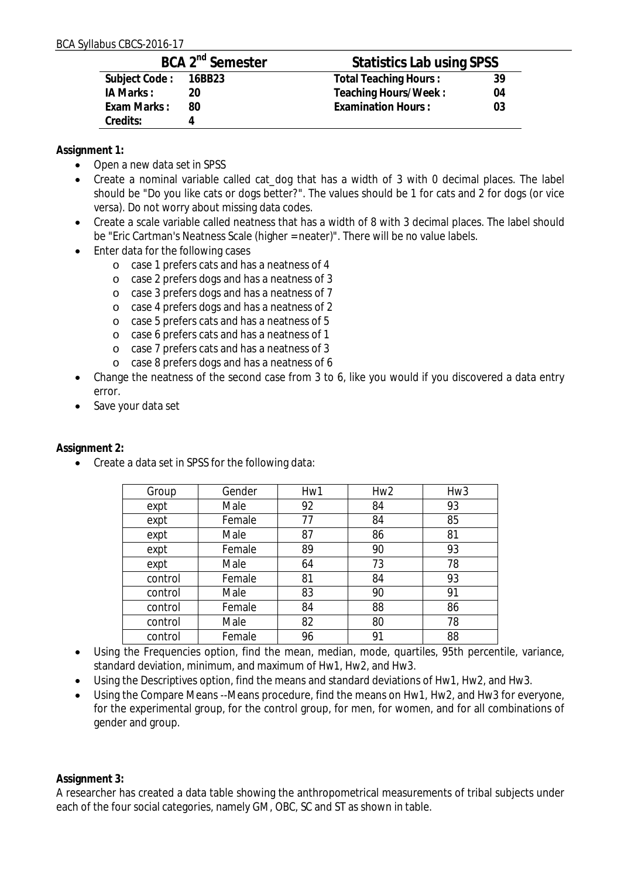| BCA 2 <sup>nd</sup> Semester |    | Statistics Lab using SPSS    |    |  |
|------------------------------|----|------------------------------|----|--|
| Subject Code: 16BB23         |    | <b>Total Teaching Hours:</b> | 39 |  |
| IA Marks:                    | 20 | Teaching Hours/Week:         | 04 |  |
| Exam Marks:                  | 80 | <b>Examination Hours:</b>    | 03 |  |
| Credits:                     |    |                              |    |  |

**Assignment 1:**

- Open a new data set in SPSS
- Create a nominal variable called cat\_dog that has a width of 3 with 0 decimal places. The label should be "Do you like cats or dogs better?". The values should be 1 for cats and 2 for dogs (or vice versa). Do not worry about missing data codes.
- Create a scale variable called neatness that has a width of 8 with 3 decimal places. The label should be "Eric Cartman's Neatness Scale (higher = neater)". There will be no value labels.
- Enter data for the following cases
	- o case 1 prefers cats and has a neatness of 4
	- o case 2 prefers dogs and has a neatness of 3
	- o case 3 prefers dogs and has a neatness of 7
	- o case 4 prefers dogs and has a neatness of 2
	- o case 5 prefers cats and has a neatness of 5
	- o case 6 prefers cats and has a neatness of 1
	- o case 7 prefers cats and has a neatness of 3
	- o case 8 prefers dogs and has a neatness of 6
- Change the neatness of the second case from 3 to 6, like you would if you discovered a data entry error.
- ∑ Save your data set

**Assignment 2:**

● Create a data set in SPSS for the following data:

| Group   | Gender | Hw1 | Hw <sub>2</sub> | Hw <sub>3</sub> |
|---------|--------|-----|-----------------|-----------------|
| expt    | Male   | 92  | 84              | 93              |
| expt    | Female | 77  | 84              | 85              |
| expt    | Male   | 87  | 86              | 81              |
| expt    | Female | 89  | 90              | 93              |
| expt    | Male   | 64  | 73              | 78              |
| control | Female | 81  | 84              | 93              |
| control | Male   | 83  | 90              | 91              |
| control | Female | 84  | 88              | 86              |
| control | Male   | 82  | 80              | 78              |
| control | Female | 96  | 91              | 88              |

- Using the Frequencies option, find the mean, median, mode, quartiles, 95th percentile, variance, standard deviation, minimum, and maximum of Hw1, Hw2, and Hw3.
- Using the Descriptives option, find the means and standard deviations of Hw1, Hw2, and Hw3.
- Using the Compare Means --Means procedure, find the means on Hw1, Hw2, and Hw3 for everyone, for the experimental group, for the control group, for men, for women, and for all combinations of gender and group.

**Assignment 3:**

A researcher has created a data table showing the anthropometrical measurements of tribal subjects under each of the four social categories, namely GM, OBC, SC and ST as shown in table.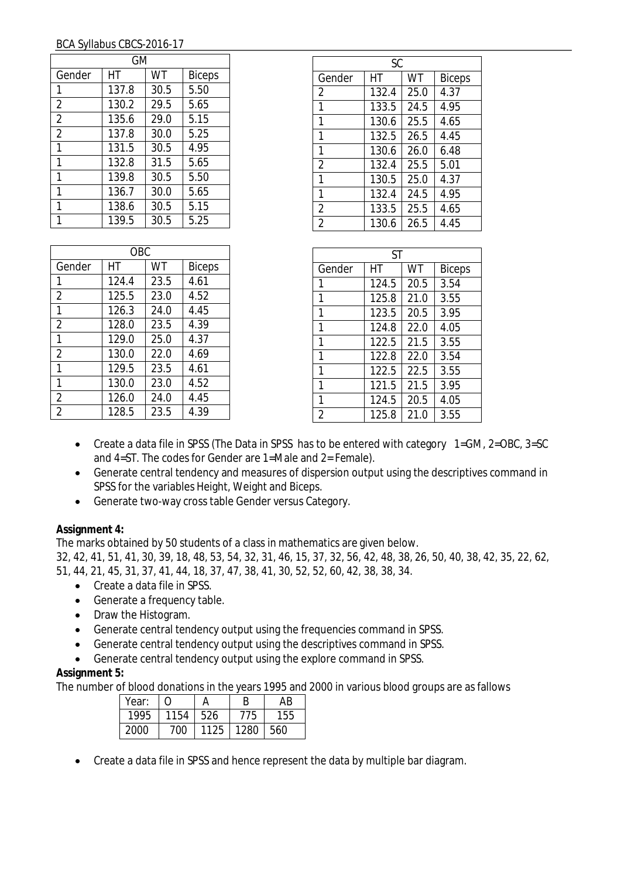| GМ             |       |      |               |  |
|----------------|-------|------|---------------|--|
| Gender         | НT    | WT   | <b>Biceps</b> |  |
| 1              | 137.8 | 30.5 | 5.50          |  |
| $\overline{2}$ | 130.2 | 29.5 | 5.65          |  |
| $\overline{2}$ | 135.6 | 29.0 | 5.15          |  |
| $\overline{2}$ | 137.8 | 30.0 | 5.25          |  |
| 1              | 131.5 | 30.5 | 4.95          |  |
| 1              | 132.8 | 31.5 | 5.65          |  |
| 1              | 139.8 | 30.5 | 5.50          |  |
| 1              | 136.7 | 30.0 | 5.65          |  |
| 1              | 138.6 | 30.5 | 5.15          |  |
|                | 139.5 | 30.5 | 5.25          |  |

| OBC.           |       |      |               |  |
|----------------|-------|------|---------------|--|
| Gender         | НT    | WT   | <b>Biceps</b> |  |
| 1              | 124.4 | 23.5 | 4.61          |  |
| $\overline{2}$ | 125.5 | 23.0 | 4.52          |  |
| 1              | 126.3 | 24.0 | 4.45          |  |
| $\overline{2}$ | 128.0 | 23.5 | 4.39          |  |
| 1              | 129.0 | 25.0 | 4.37          |  |
| $\overline{2}$ | 130.0 | 22.0 | 4.69          |  |
| 1              | 129.5 | 23.5 | 4.61          |  |
| 1              | 130.0 | 23.0 | 4.52          |  |
| $\overline{2}$ | 126.0 | 24.0 | 4.45          |  |
| $\overline{2}$ | 128.5 | 23.5 | 4.39          |  |

| SC             |       |      |               |  |  |
|----------------|-------|------|---------------|--|--|
| Gender         | НT    | WT   | <b>Biceps</b> |  |  |
| 2              | 132.4 | 25.0 | 4.37          |  |  |
| 1              | 133.5 | 24.5 | 4.95          |  |  |
| 1              | 130.6 | 25.5 | 4.65          |  |  |
| 1              | 132.5 | 26.5 | 4.45          |  |  |
| 1              | 130.6 | 26.0 | 6.48          |  |  |
| 2              | 132.4 | 25.5 | 5.01          |  |  |
| 1              | 130.5 | 25.0 | 4.37          |  |  |
| 1              | 132.4 | 24.5 | 4.95          |  |  |
| 2              | 133.5 | 25.5 | 4.65          |  |  |
| $\overline{2}$ | 130.6 | 26.5 | 4.45          |  |  |

| ST             |       |      |               |  |  |
|----------------|-------|------|---------------|--|--|
| Gender         | НT    | WT   | <b>Biceps</b> |  |  |
| 1              | 124.5 | 20.5 | 3.54          |  |  |
| 1              | 125.8 | 21.0 | 3.55          |  |  |
| 1              | 123.5 | 20.5 | 3.95          |  |  |
| 1              | 124.8 | 22.O | 4.05          |  |  |
| 1              | 122.5 | 21.5 | 3.55          |  |  |
| 1              | 122.8 | 22.0 | 3.54          |  |  |
| 1              | 122.5 | 22.5 | 3.55          |  |  |
| 1              | 121.5 | 21.5 | 3.95          |  |  |
| 1              | 124.5 | 20.5 | 4.05          |  |  |
| $\mathfrak{D}$ | 125.8 | 21.0 | 3.55          |  |  |

- ∑ Create a data file in SPSS (The Data in SPSS has to be entered with category 1=GM, 2=OBC, 3=SC and 4=ST. The codes for Gender are 1=Male and 2= Female).
- Generate central tendency and measures of dispersion output using the descriptives command in SPSS for the variables Height, Weight and Biceps.
- Generate two-way cross table Gender versus Category.

## **Assignment 4:**

The marks obtained by 50 students of a class in mathematics are given below.

32, 42, 41, 51, 41, 30, 39, 18, 48, 53, 54, 32, 31, 46, 15, 37, 32, 56, 42, 48, 38, 26, 50, 40, 38, 42, 35, 22, 62, 51, 44, 21, 45, 31, 37, 41, 44, 18, 37, 47, 38, 41, 30, 52, 52, 60, 42, 38, 38, 34.

- Create a data file in SPSS.
- Generate a frequency table.
- Draw the Histogram.
- Generate central tendency output using the frequencies command in SPSS.
- Generate central tendency output using the descriptives command in SPSS.
- Generate central tendency output using the explore command in SPSS.

## **Assignment 5:**

The number of blood donations in the years 1995 and 2000 in various blood groups are as fallows

| Year: |      |      | В    | AB  |
|-------|------|------|------|-----|
| 1995  | 1154 | 526  | 775  | 155 |
| 2000  | '00  | 1125 | 1280 | 560 |

■ Create a data file in SPSS and hence represent the data by multiple bar diagram.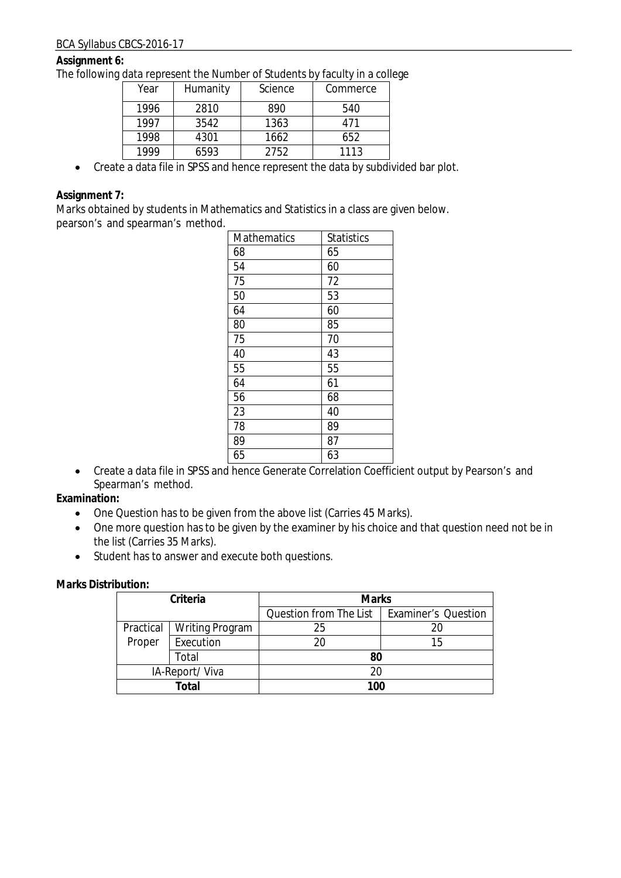#### **Assignment 6:**

The following data represent the Number of Students by faculty in a college

| Year | Humanity | Science | Commerce |
|------|----------|---------|----------|
| 1996 | 2810     | 890     | 540      |
| 1997 | 3542     | 1363    | 471      |
| 1998 | 4301     | 1662    | 652      |
| 1999 | 6593     | 2752    | 1113     |

● Create a data file in SPSS and hence represent the data by subdivided bar plot.

#### **Assignment 7:**

Marks obtained by students in Mathematics and Statistics in a class are given below. pearson's and spearman's method.

| <b>Mathematics</b> | <b>Statistics</b> |
|--------------------|-------------------|
| 68                 | 65                |
| 54                 | 60                |
| 75                 | 72                |
| 50                 | 53                |
| 64                 | 60                |
| 80                 | 85                |
| 75                 | 70                |
| 40                 | 43                |
| 55                 | 55                |
| 64                 | 61                |
| 56                 | 68                |
| 23                 | 40                |
| 78                 | 89                |
| 89                 | 87                |
| 65                 | 63                |

● Create a data file in SPSS and hence Generate Correlation Coefficient output by Pearson's and Spearman's method.

**Examination:**

- One Question has to be given from the above list (Carries 45 Marks).
- One more question has to be given by the examiner by his choice and that question need not be in the list (Carries 35 Marks).
- Student has to answer and execute both questions.

| Criteria       |                        | <b>Marks</b>           |                            |  |
|----------------|------------------------|------------------------|----------------------------|--|
|                |                        | Question from The List | <b>Examiner's Question</b> |  |
| Practical      | <b>Writing Program</b> | 25                     | 20                         |  |
| Proper         | Execution              | 20                     | 15                         |  |
| Total          |                        | 80                     |                            |  |
| IA-Report/Viva |                        | 20                     |                            |  |
| Total          |                        | 100                    |                            |  |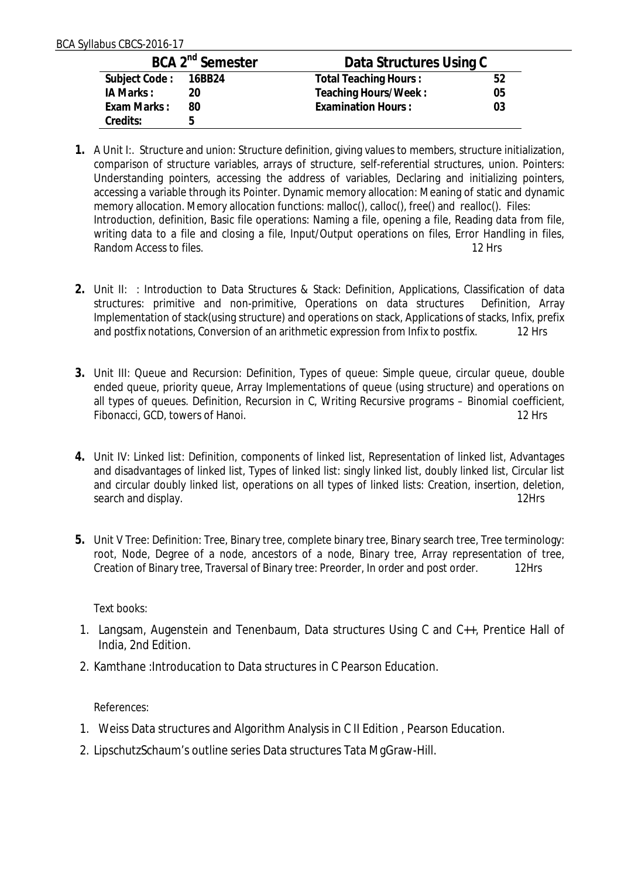| BCA 2 <sup>nd</sup> Semester |    | Data Structures Using C   |    |  |
|------------------------------|----|---------------------------|----|--|
| Subject Code: 16BB24         |    | Total Teaching Hours:     | 52 |  |
| IA Marks:                    | 20 | Teaching Hours/Week:      | 05 |  |
| Exam Marks:                  | 80 | <b>Examination Hours:</b> | 03 |  |
| Credits:                     | h  |                           |    |  |

- **1.** A Unit I:. Structure and union: Structure definition, giving values to members, structure initialization, comparison of structure variables, arrays of structure, self-referential structures, union. Pointers: Understanding pointers, accessing the address of variables, Declaring and initializing pointers, accessing a variable through its Pointer. Dynamic memory allocation: Meaning of static and dynamic memory allocation. Memory allocation functions: malloc(), calloc(), free() and realloc(). Files: Introduction, definition, Basic file operations: Naming a file, opening a file, Reading data from file, writing data to a file and closing a file, Input/Output operations on files, Error Handling in files, Random Access to files. 12 Hrs
- **2.** Unit II: : Introduction to Data Structures & Stack: Definition, Applications, Classification of data structures: primitive and non-primitive, Operations on data structures Definition, Array Implementation of stack(using structure) and operations on stack, Applications of stacks, Infix, prefix and postfix notations, Conversion of an arithmetic expression from Infix to postfix. 12 Hrs
- **3.** Unit III: Queue and Recursion: Definition, Types of queue: Simple queue, circular queue, double ended queue, priority queue, Array Implementations of queue (using structure) and operations on all types of queues. Definition, Recursion in C, Writing Recursive programs – Binomial coefficient, Fibonacci, GCD, towers of Hanoi. 12 Hrs
- **4.** Unit IV: Linked list: Definition, components of linked list, Representation of linked list, Advantages and disadvantages of linked list, Types of linked list: singly linked list, doubly linked list, Circular list and circular doubly linked list, operations on all types of linked lists: Creation, insertion, deletion, search and display. 12Hrs
- **5.** Unit V Tree: Definition: Tree, Binary tree, complete binary tree, Binary search tree, Tree terminology: root, Node, Degree of a node, ancestors of a node, Binary tree, Array representation of tree, Creation of Binary tree, Traversal of Binary tree: Preorder, In order and post order. 12Hrs

Text books:

- 1. Langsam, Augenstein and Tenenbaum, Data structures Using C and C++, Prentice Hall of India, 2nd Edition.
- 2. Kamthane :Introducation to Data structures in C Pearson Education.

References:

- 1. Weiss Data structures and Algorithm Analysis in C II Edition , Pearson Education.
- 2. LipschutzSchaum's outline series Data structures Tata MgGraw-Hill.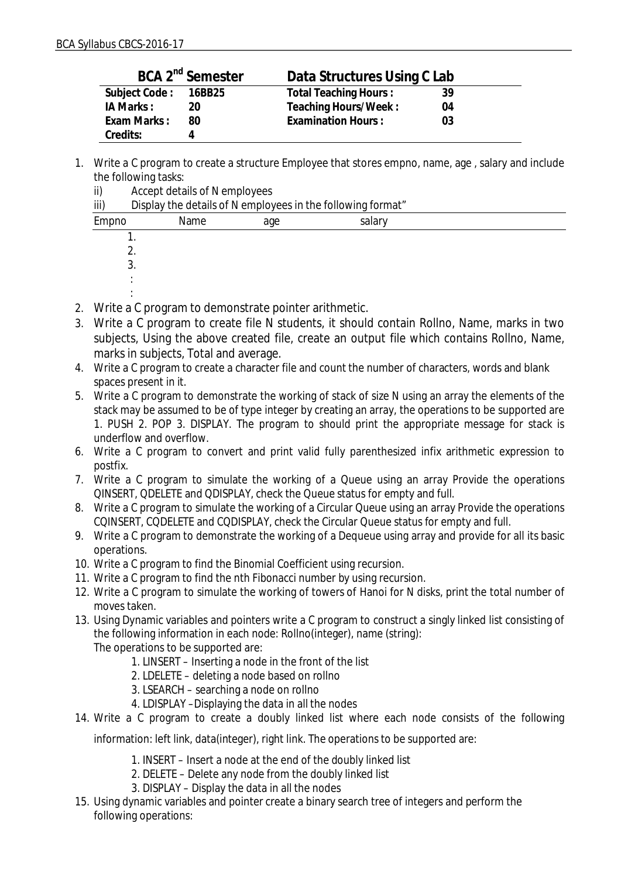| BCA 2 <sup>nd</sup> Semester |    | Data Structures Using C Lab  |    |  |
|------------------------------|----|------------------------------|----|--|
| Subject Code: 16BB25         |    | <b>Total Teaching Hours:</b> | 39 |  |
| IA Marks :                   | 20 | Teaching Hours/Week:         | 04 |  |
| Exam Marks:                  | 80 | <b>Examination Hours:</b>    | 03 |  |
| Credits:                     |    |                              |    |  |

1. Write a C program to create a structure Employee that stores empno, name, age , salary and include the following tasks:

| ii)   | Accept details of N employees                               |     |        |  |  |  |
|-------|-------------------------------------------------------------|-----|--------|--|--|--|
| iii)  | Display the details of N employees in the following format" |     |        |  |  |  |
| Empno | Name                                                        | age | salary |  |  |  |
|       |                                                             |     |        |  |  |  |
|       |                                                             |     |        |  |  |  |
|       | 3.                                                          |     |        |  |  |  |
|       |                                                             |     |        |  |  |  |
|       |                                                             |     |        |  |  |  |

- 2. Write a C program to demonstrate pointer arithmetic.
- 3. Write a C program to create file N students, it should contain Rollno, Name, marks in two subjects, Using the above created file, create an output file which contains Rollno, Name, marks in subjects, Total and average.
- 4. Write a C program to create a character file and count the number of characters, words and blank spaces present in it.
- 5. Write a C program to demonstrate the working of stack of size N using an array the elements of the stack may be assumed to be of type integer by creating an array, the operations to be supported are 1. PUSH 2. POP 3. DISPLAY. The program to should print the appropriate message for stack is underflow and overflow.
- 6. Write a C program to convert and print valid fully parenthesized infix arithmetic expression to postfix.
- 7. Write a C program to simulate the working of a Queue using an array Provide the operations QINSERT, QDELETE and QDISPLAY, check the Queue status for empty and full.
- 8. Write a C program to simulate the working of a Circular Queue using an array Provide the operations CQINSERT, CQDELETE and CQDISPLAY, check the Circular Queue status for empty and full.
- 9. Write a C program to demonstrate the working of a Dequeue using array and provide for all its basic operations.
- 10. Write a C program to find the Binomial Coefficient using recursion.
- 11. Write a C program to find the nth Fibonacci number by using recursion.
- 12. Write a C program to simulate the working of towers of Hanoi for N disks, print the total number of moves taken.
- 13. Using Dynamic variables and pointers write a C program to construct a singly linked list consisting of the following information in each node: Rollno(integer), name (string): The operations to be supported are:
	- 1. LINSERT Inserting a node in the front of the list
	- 2. LDELETE deleting a node based on rollno
	- 3. LSEARCH searching a node on rollno
	- 4. LDISPLAY –Displaying the data in all the nodes
- 14. Write a C program to create a doubly linked list where each node consists of the following

information: left link, data(integer), right link. The operations to be supported are:

- 1. INSERT Insert a node at the end of the doubly linked list
- 2. DELETE Delete any node from the doubly linked list
- 3. DISPLAY Display the data in all the nodes
- 15. Using dynamic variables and pointer create a binary search tree of integers and perform the following operations: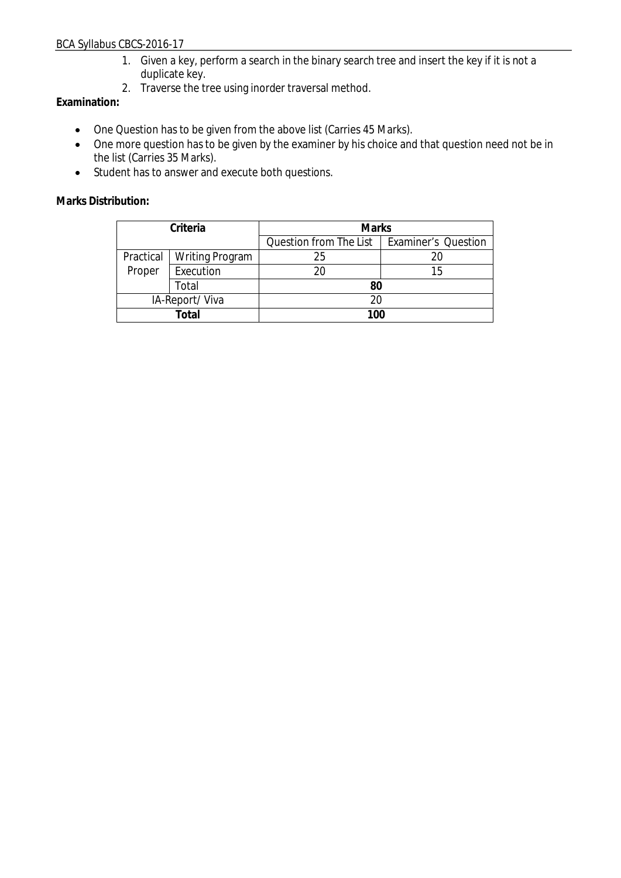- 1. Given a key, perform a search in the binary search tree and insert the key if it is not a duplicate key.
- 2. Traverse the tree using inorder traversal method.

## **Examination:**

- One Question has to be given from the above list (Carries 45 Marks).
- One more question has to be given by the examiner by his choice and that question need not be in the list (Carries 35 Marks).
- ∑ Student has to answer and execute both questions.

| Criteria       |                        | <b>Marks</b>           |                            |
|----------------|------------------------|------------------------|----------------------------|
|                |                        | Question from The List | <b>Examiner's Question</b> |
| Practical      | <b>Writing Program</b> | 25                     |                            |
| Proper         | Execution              | 20                     | 15                         |
|                | Total                  | 80                     |                            |
| IA-Report/Viva |                        |                        |                            |
| Total          |                        | 100                    |                            |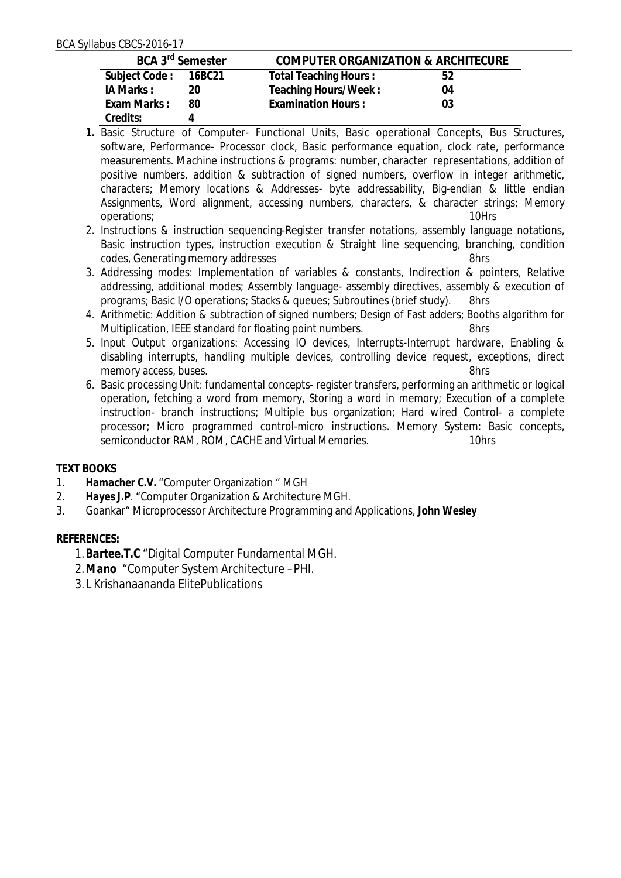| BCA 3 <sup>rd</sup> Semester |    | COMPUTER ORGANIZATION & ARCHITECURE |    |
|------------------------------|----|-------------------------------------|----|
| Subject Code: 16BC21         |    | <b>Total Teaching Hours:</b>        | 52 |
| IA Marks:                    | 20 | Teaching Hours/Week:                | 04 |
| Exam Marks:                  | 80 | <b>Examination Hours:</b>           | 03 |
| Credits:                     |    |                                     |    |

- **1.** Basic Structure of Computer- Functional Units, Basic operational Concepts, Bus Structures, software, Performance- Processor clock, Basic performance equation, clock rate, performance measurements. Machine instructions & programs: number, character representations, addition of positive numbers, addition & subtraction of signed numbers, overflow in integer arithmetic, characters; Memory locations & Addresses- byte addressability, Big-endian & little endian Assignments, Word alignment, accessing numbers, characters, & character strings; Memory operations; 10Hrs
- 2. Instructions & instruction sequencing-Register transfer notations, assembly language notations, Basic instruction types, instruction execution & Straight line sequencing, branching, condition codes, Generating memory addresses 8hrs
- 3. Addressing modes: Implementation of variables & constants, Indirection & pointers, Relative addressing, additional modes; Assembly language- assembly directives, assembly & execution of programs; Basic I/O operations; Stacks & queues; Subroutines (brief study). 8hrs
- 4. Arithmetic: Addition & subtraction of signed numbers; Design of Fast adders; Booths algorithm for Multiplication, IEEE standard for floating point numbers. 8hrs
- 5. Input Output organizations: Accessing IO devices, Interrupts-Interrupt hardware, Enabling & disabling interrupts, handling multiple devices, controlling device request, exceptions, direct memory access, buses. 8hrs
- 6. Basic processing Unit: fundamental concepts- register transfers, performing an arithmetic or logical operation, fetching a word from memory, Storing a word in memory; Execution of a complete instruction- branch instructions; Multiple bus organization; Hard wired Control- a complete processor; Micro programmed control-micro instructions. Memory System: Basic concepts, semiconductor RAM, ROM, CACHE and Virtual Memories. 10hrs

## **TEXT BOOKS**

- 1. Hamacher C.V. "Computer Organization " MGH<br>2. Hayes J.P. "Computer Organization & Architectu
- 2. *Hayes J.P*. "Computer Organization & Architecture MGH.
- 3. Goankar" Microprocessor Architecture Programming and Applications, *John Wesley*

## **REFERENCES:**

- 1.*Bartee.T.C* "Digital Computer Fundamental MGH.
- 2.*Mano* "Computer System Architecture –PHI.
- 3.L Krishanaananda ElitePublications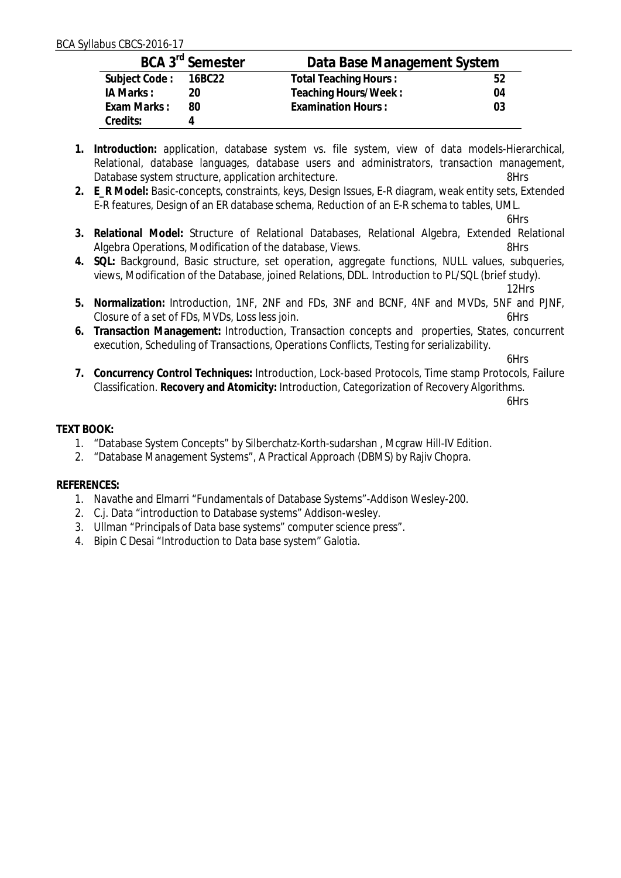| BCA 3 <sup>rd</sup> Semester |    | Data Base Management System |    |
|------------------------------|----|-----------------------------|----|
| Subject Code: 16BC22         |    | Total Teaching Hours:       | 52 |
| IA Marks:                    | 20 | Teaching Hours/Week:        | 04 |
| Exam Marks:                  | 80 | <b>Examination Hours:</b>   | 03 |
| Credits:                     |    |                             |    |

- **1. Introduction:** application, database system vs. file system, view of data models-Hierarchical, Relational, database languages, database users and administrators, transaction management, Database system structure, application architecture. The material system structure and  $8Hrs$
- **2. E\_R Model:** Basic-concepts, constraints, keys, Design Issues, E-R diagram, weak entity sets, Extended E-R features, Design of an ER database schema, Reduction of an E-R schema to tables, UML.

6Hrs

- **3. Relational Model:** Structure of Relational Databases, Relational Algebra, Extended Relational Algebra Operations, Modification of the database, Views.
- **4. SQL:** Background, Basic structure, set operation, aggregate functions, NULL values, subqueries, views, Modification of the Database, joined Relations, DDL. Introduction to PL/SQL (brief study).

12Hrs

- **5. Normalization:** Introduction, 1NF, 2NF and FDs, 3NF and BCNF, 4NF and MVDs, 5NF and PJNF, Closure of a set of FDs, MVDs, Loss less join. 6Hrs
- **6. Transaction Management:** Introduction, Transaction concepts and properties, States, concurrent execution, Scheduling of Transactions, Operations Conflicts, Testing for serializability.

6Hrs

**7. Concurrency Control Techniques:** Introduction, Lock-based Protocols, Time stamp Protocols, Failure Classification. **Recovery and Atomicity:** Introduction, Categorization of Recovery Algorithms.

6Hrs

## **TEXT BOOK:**

- 1. "Database System Concepts" by Silberchatz-Korth-sudarshan , Mcgraw Hill-IV Edition.
- 2. "Database Management Systems", A Practical Approach (DBMS) by Rajiv Chopra.

## **REFERENCES:**

- 1. Navathe and Elmarri "Fundamentals of Database Systems"-Addison Wesley-200.
- 2. C.j. Data "introduction to Database systems" Addison-wesley.
- 3. Ullman "Principals of Data base systems" computer science press".
- 4. Bipin C Desai "Introduction to Data base system" Galotia.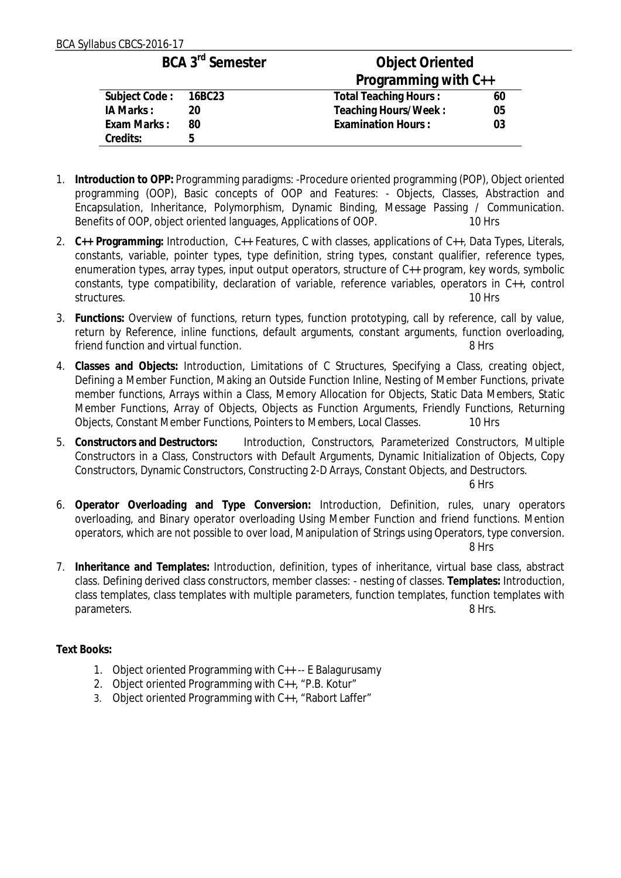| BCA 3 <sup>rd</sup> Semester |    | Object Oriented              |    |
|------------------------------|----|------------------------------|----|
|                              |    | Programming with C++         |    |
| Subject Code: 16BC23         |    | <b>Total Teaching Hours:</b> | 60 |
| IA Marks:                    | 20 | Teaching Hours/Week:         | 05 |
| Exam Marks:                  | 80 | <b>Examination Hours:</b>    | 03 |
| Credits:                     | 5  |                              |    |

- 1. **Introduction to OPP:** Programming paradigms: -Procedure oriented programming (POP), Object oriented programming (OOP), Basic concepts of OOP and Features: - Objects, Classes, Abstraction and Encapsulation, Inheritance, Polymorphism, Dynamic Binding, Message Passing / Communication. Benefits of OOP, object oriented languages, Applications of OOP. 10 Hrs
- 2. **C++ Programming:** Introduction, C++ Features, C with classes, applications of C++, Data Types, Literals, constants, variable, pointer types, type definition, string types, constant qualifier, reference types, enumeration types, array types, input output operators, structure of C++ program, key words, symbolic constants, type compatibility, declaration of variable, reference variables, operators in C++, control structures. The contract of the contract of the contract of the contract of the contract of the contract of the contract of the contract of the contract of the contract of the contract of the contract of the contract of th
- 3. **Functions:** Overview of functions, return types, function prototyping, call by reference, call by value, return by Reference, inline functions, default arguments, constant arguments, function overloading, friend function and virtual function. 8 Hrs
- 4. **Classes and Objects:** Introduction, Limitations of C Structures, Specifying a Class, creating object, Defining a Member Function, Making an Outside Function Inline, Nesting of Member Functions, private member functions, Arrays within a Class, Memory Allocation for Objects, Static Data Members, Static Member Functions, Array of Objects, Objects as Function Arguments, Friendly Functions, Returning Objects, Constant Member Functions, Pointers to Members, Local Classes. 10 Hrs
- 5. **Constructors and Destructors:** Introduction, Constructors, Parameterized Constructors, Multiple Constructors in a Class, Constructors with Default Arguments, Dynamic Initialization of Objects, Copy Constructors, Dynamic Constructors, Constructing 2-D Arrays, Constant Objects, and Destructors.

6 Hrs

- 6. **Operator Overloading and Type Conversion:** Introduction, Definition, rules, unary operators overloading, and Binary operator overloading Using Member Function and friend functions. Mention operators, which are not possible to over load, Manipulation of Strings using Operators, type conversion. 8 Hrs
- 7. **Inheritance and Templates:** Introduction, definition, types of inheritance, virtual base class, abstract class. Defining derived class constructors, member classes: - nesting of classes. **Templates:** Introduction, class templates, class templates with multiple parameters, function templates, function templates with parameters. 8 Hrs.

#### **Text Books:**

- 1. Object oriented Programming with C++ -- E Balagurusamy
- 2. Object oriented Programming with C++, "P.B. Kotur"
- 3. Object oriented Programming with C++, "Rabort Laffer"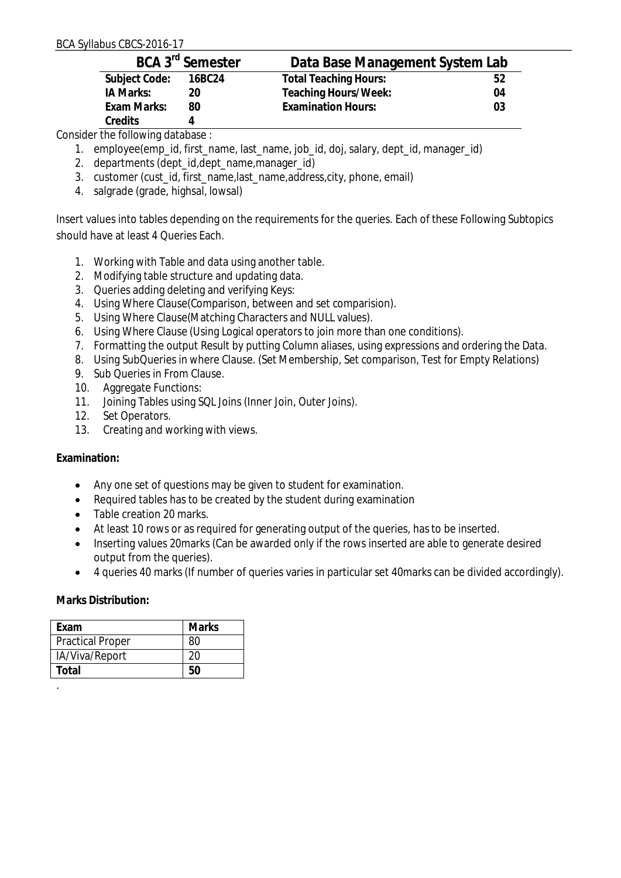| BCA 3 <sup>rd</sup> Semester |        | Data Base Management System Lab |    |
|------------------------------|--------|---------------------------------|----|
| Subject Code:                | 16BC24 | <b>Total Teaching Hours:</b>    | 52 |
| IA Marks:                    | 20     | Teaching Hours/Week:            | 04 |
| Exam Marks:                  | 80     | <b>Examination Hours:</b>       | 03 |
| Credits                      |        |                                 |    |

Consider the following database :

- 1. employee(emp\_id, first\_name, last\_name, job\_id, doj, salary, dept\_id, manager\_id)
- 2. departments (dept\_id,dept\_name,manager\_id)
- 3. customer (cust\_id, first\_name, last\_name, address, city, phone, email)
- 4. salgrade (grade, highsal, lowsal)

Insert values into tables depending on the requirements for the queries. Each of these Following Subtopics should have at least 4 Queries Each.

- 1. Working with Table and data using another table.
- 2. Modifying table structure and updating data.
- 3. Queries adding deleting and verifying Keys:
- 4. Using Where Clause(Comparison, between and set comparision).
- 5. Using Where Clause(Matching Characters and NULL values).
- 6. Using Where Clause (Using Logical operators to join more than one conditions).
- 7. Formatting the output Result by putting Column aliases, using expressions and ordering the Data.
- 8. Using SubQueries in where Clause. (Set Membership, Set comparison, Test for Empty Relations)
- 9. Sub Queries in From Clause.
- 10. Aggregate Functions:
- 11. Joining Tables using SQL Joins (Inner Join, Outer Joins).
- 12. Set Operators.
- 13. Creating and working with views.

**Examination:**

- Any one set of questions may be given to student for examination.
- Required tables has to be created by the student during examination
- Table creation 20 marks.
- At least 10 rows or as required for generating output of the queries, has to be inserted.
- Inserting values 20 marks (Can be awarded only if the rows inserted are able to generate desired output from the queries).
- ∑ 4 queries 40 marks (If number of queries varies in particular set 40marks can be divided accordingly).

| Fxam                    | Marks |
|-------------------------|-------|
| <b>Practical Proper</b> | 80    |
| IA/Viva/Report          | 20    |
| Total                   | 50    |
|                         |       |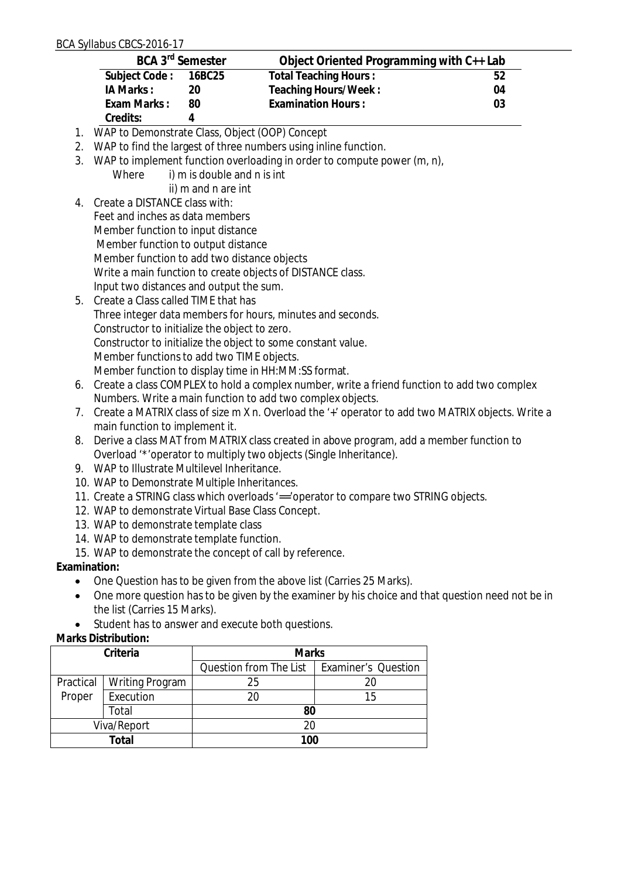|              |                                                                                                                                                                 | BCA 3 <sup>rd</sup> Semester | Object Oriented Programming with C++ Lab                                                         |    |  |
|--------------|-----------------------------------------------------------------------------------------------------------------------------------------------------------------|------------------------------|--------------------------------------------------------------------------------------------------|----|--|
|              | Subject Code:                                                                                                                                                   | 16BC25                       | <b>Total Teaching Hours:</b>                                                                     | 52 |  |
|              | IA Marks:                                                                                                                                                       | 20                           | Teaching Hours/Week:                                                                             | 04 |  |
|              | Exam Marks:                                                                                                                                                     | 80                           | <b>Examination Hours:</b>                                                                        | 03 |  |
|              | Credits:                                                                                                                                                        | 4                            |                                                                                                  |    |  |
|              |                                                                                                                                                                 |                              | 1. WAP to Demonstrate Class, Object (OOP) Concept                                                |    |  |
| 2.           |                                                                                                                                                                 |                              | WAP to find the largest of three numbers using inline function.                                  |    |  |
| 3.           |                                                                                                                                                                 |                              | WAP to implement function overloading in order to compute power (m, n),                          |    |  |
|              | Where                                                                                                                                                           | i) m is double and n is int  |                                                                                                  |    |  |
|              |                                                                                                                                                                 | ii) m and n are int          |                                                                                                  |    |  |
| 4.           | Create a DISTANCE class with:                                                                                                                                   |                              |                                                                                                  |    |  |
|              | Feet and inches as data members                                                                                                                                 |                              |                                                                                                  |    |  |
|              | Member function to input distance                                                                                                                               |                              |                                                                                                  |    |  |
|              | Member function to output distance                                                                                                                              |                              |                                                                                                  |    |  |
|              | Member function to add two distance objects                                                                                                                     |                              |                                                                                                  |    |  |
|              |                                                                                                                                                                 |                              | Write a main function to create objects of DISTANCE class.                                       |    |  |
|              | Input two distances and output the sum.                                                                                                                         |                              |                                                                                                  |    |  |
|              | 5. Create a Class called TIME that has                                                                                                                          |                              |                                                                                                  |    |  |
|              |                                                                                                                                                                 |                              | Three integer data members for hours, minutes and seconds.                                       |    |  |
|              | Constructor to initialize the object to zero.                                                                                                                   |                              |                                                                                                  |    |  |
|              |                                                                                                                                                                 |                              | Constructor to initialize the object to some constant value.                                     |    |  |
|              | Member functions to add two TIME objects.                                                                                                                       |                              |                                                                                                  |    |  |
|              |                                                                                                                                                                 |                              | Member function to display time in HH:MM:SS format.                                              |    |  |
| 6.           |                                                                                                                                                                 |                              | Create a class COMPLEX to hold a complex number, write a friend function to add two complex      |    |  |
|              | Numbers. Write a main function to add two complex objects.<br>Create a MATRIX class of size m X n. Overload the '+' operator to add two MATRIX objects. Write a |                              |                                                                                                  |    |  |
| 7.           |                                                                                                                                                                 |                              |                                                                                                  |    |  |
|              | main function to implement it.                                                                                                                                  |                              |                                                                                                  |    |  |
| 8.           |                                                                                                                                                                 |                              | Derive a class MAT from MATRIX class created in above program, add a member function to          |    |  |
|              | 9. WAP to Illustrate Multilevel Inheritance.                                                                                                                    |                              | Overload "* 'operator to multiply two objects (Single Inheritance).                              |    |  |
|              | 10. WAP to Demonstrate Multiple Inheritances.                                                                                                                   |                              |                                                                                                  |    |  |
|              |                                                                                                                                                                 |                              | 11. Create a STRING class which overloads '=='operator to compare two STRING objects.            |    |  |
|              | 12. WAP to demonstrate Virtual Base Class Concept.                                                                                                              |                              |                                                                                                  |    |  |
|              | 13. WAP to demonstrate template class                                                                                                                           |                              |                                                                                                  |    |  |
|              | 14. WAP to demonstrate template function.                                                                                                                       |                              |                                                                                                  |    |  |
|              |                                                                                                                                                                 |                              | 15. WAP to demonstrate the concept of call by reference.                                         |    |  |
| Examination: |                                                                                                                                                                 |                              |                                                                                                  |    |  |
| $\bullet$    |                                                                                                                                                                 |                              | One Question has to be given from the above list (Carries 25 Marks).                             |    |  |
|              |                                                                                                                                                                 |                              | One more question has to be given by the examiner by his choice and that question need not be in |    |  |
|              | the list (Carries 15 Marks).                                                                                                                                    |                              |                                                                                                  |    |  |
|              |                                                                                                                                                                 |                              | Student has to answer and execute both questions.                                                |    |  |

| Criteria    |                        | <b>Marks</b>           |                            |
|-------------|------------------------|------------------------|----------------------------|
|             |                        | Question from The List | <b>Examiner's Question</b> |
| Practical   | <b>Writing Program</b> | 25                     |                            |
| Proper      | Execution              | 20                     | 15                         |
| Total       |                        | 80                     |                            |
| Viva/Report |                        |                        |                            |
|             | Total                  | 100                    |                            |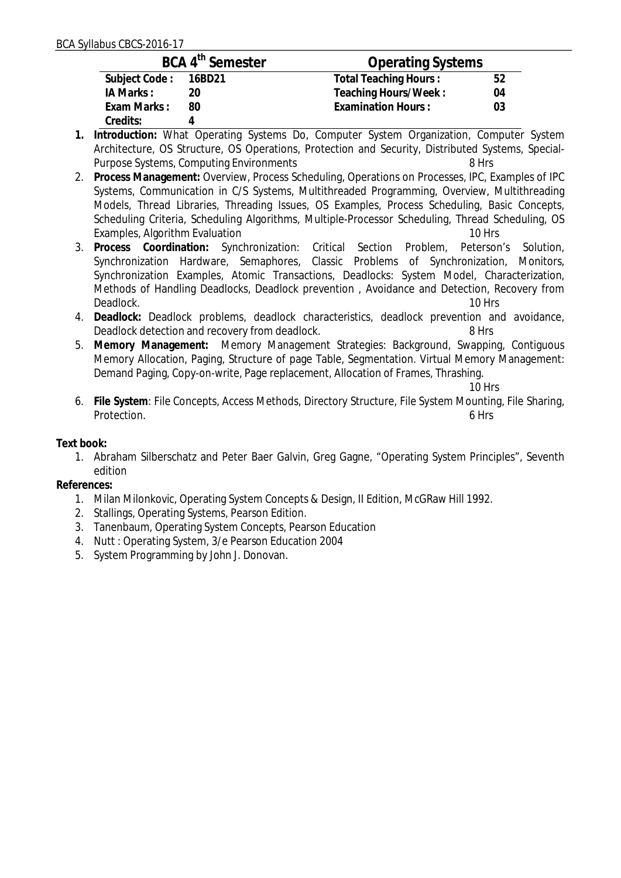|                      | BCA 4 <sup>th</sup> Semester | <b>Operating Systems</b>     |    |
|----------------------|------------------------------|------------------------------|----|
| Subject Code: 16BD21 |                              | <b>Total Teaching Hours:</b> | 52 |
| IA Marks :           |                              | Teaching Hours/Week:         | 04 |
| Exam Marks:          | 80                           | <b>Examination Hours:</b>    | 03 |
| Credits:             |                              |                              |    |

- **1. Introduction:** What Operating Systems Do, Computer System Organization, Computer System Architecture, OS Structure, OS Operations, Protection and Security, Distributed Systems, Special-Purpose Systems, Computing Environments 8 Hrs
- 2. **Process Management:** Overview, Process Scheduling, Operations on Processes, IPC, Examples of IPC Systems, Communication in C/S Systems, Multithreaded Programming, Overview, Multithreading Models, Thread Libraries, Threading Issues, OS Examples, Process Scheduling, Basic Concepts, Scheduling Criteria, Scheduling Algorithms, Multiple-Processor Scheduling, Thread Scheduling, OS Examples, Algorithm Evaluation<br>Process Coordination: Synchronization: Critical Section Problem. Peterson's Solution.
- 3. Process Coordination: Synchronization: Critical Section Problem, Synchronization Hardware, Semaphores, Classic Problems of Synchronization, Monitors, Synchronization Examples, Atomic Transactions, Deadlocks: System Model, Characterization, Methods of Handling Deadlocks, Deadlock prevention , Avoidance and Detection, Recovery from Deadlock. 10 Hrs
- 4. **Deadlock:** Deadlock problems, deadlock characteristics, deadlock prevention and avoidance, Deadlock detection and recovery from deadlock. 8 Hrs
- 5. **Memory Management:** Memory Management Strategies: Background, Swapping, Contiguous Memory Allocation, Paging, Structure of page Table, Segmentation. Virtual Memory Management: Demand Paging, Copy-on-write, Page replacement, Allocation of Frames, Thrashing.

10 Hrs

6. **File System**: File Concepts, Access Methods, Directory Structure, File System Mounting, File Sharing, Protection. 6 Hrs

**Text book:**

1. Abraham Silberschatz and Peter Baer Galvin, Greg Gagne, "Operating System Principles", Seventh edition

**References:**

- 1. Milan Milonkovic, Operating System Concepts & Design, II Edition, McGRaw Hill 1992.
- 2. Stallings, Operating Systems, Pearson Edition.
- 3. Tanenbaum, Operating System Concepts, Pearson Education
- 4. Nutt : Operating System, 3/e Pearson Education 2004
- 5. System Programming by John J. Donovan.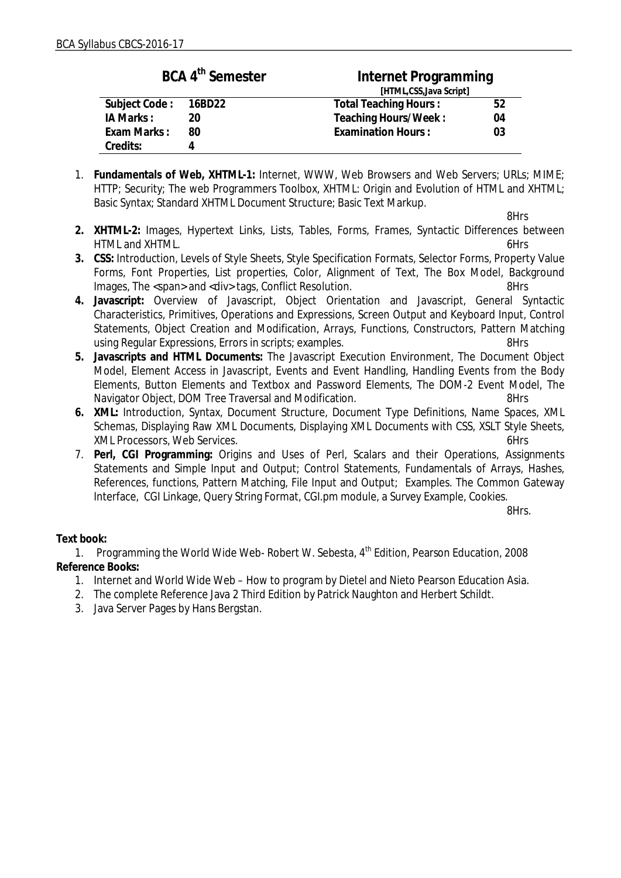| BCA 4 <sup>th</sup> Semester |    | Internet Programming      |    |  |
|------------------------------|----|---------------------------|----|--|
|                              |    | [HTML,CSS, Java Script]   |    |  |
| Subject Code: 16BD22         |    | Total Teaching Hours:     | 52 |  |
| IA Marks:                    | 20 | Teaching Hours/Week:      | 04 |  |
| Exam Marks:                  | 80 | <b>Examination Hours:</b> | 03 |  |
| Credits:                     |    |                           |    |  |

1. **Fundamentals of Web, XHTML-1:** Internet, WWW, Web Browsers and Web Servers; URLs; MIME; HTTP; Security; The web Programmers Toolbox, XHTML: Origin and Evolution of HTML and XHTML; Basic Syntax; Standard XHTML Document Structure; Basic Text Markup.

8Hrs

- **2. XHTML-2:** Images, Hypertext Links, Lists, Tables, Forms, Frames, Syntactic Differences between HTML and XHTML. 6Hrs
- **3. CSS:** Introduction, Levels of Style Sheets, Style Specification Formats, Selector Forms, Property Value Forms, Font Properties, List properties, Color, Alignment of Text, The Box Model, Background Images, The <span> and <div> tags, Conflict Resolution. 8Hrs
- **4. Javascript:** Overview of Javascript, Object Orientation and Javascript, General Syntactic Characteristics, Primitives, Operations and Expressions, Screen Output and Keyboard Input, Control Statements, Object Creation and Modification, Arrays, Functions, Constructors, Pattern Matching using Regular Expressions, Errors in scripts; examples.
- **5. Javascripts and HTML Documents:** The Javascript Execution Environment, The Document Object Model, Element Access in Javascript, Events and Event Handling, Handling Events from the Body Elements, Button Elements and Textbox and Password Elements, The DOM-2 Event Model, The Navigator Object, DOM Tree Traversal and Modification. The State of States 8Hrs
- **6. XML:** Introduction, Syntax, Document Structure, Document Type Definitions, Name Spaces, XML Schemas, Displaying Raw XML Documents, Displaying XML Documents with CSS, XSLT Style Sheets, XML Processors, Web Services. 6Hrs
- 7. **Perl, CGI Programming:** Origins and Uses of Perl, Scalars and their Operations, Assignments Statements and Simple Input and Output; Control Statements, Fundamentals of Arrays, Hashes, References, functions, Pattern Matching, File Input and Output; Examples. The Common Gateway Interface, CGI Linkage, Query String Format, CGI.pm module, a Survey Example, Cookies.

8Hrs.

## **Text book:**

1. Programming the World Wide Web- Robert W. Sebesta, 4<sup>th</sup> Edition, Pearson Education, 2008 **Reference Books:**

- 1. Internet and World Wide Web How to program by Dietel and Nieto Pearson Education Asia.
- 2. The complete Reference Java 2 Third Edition by Patrick Naughton and Herbert Schildt.
- 3. Java Server Pages by Hans Bergstan.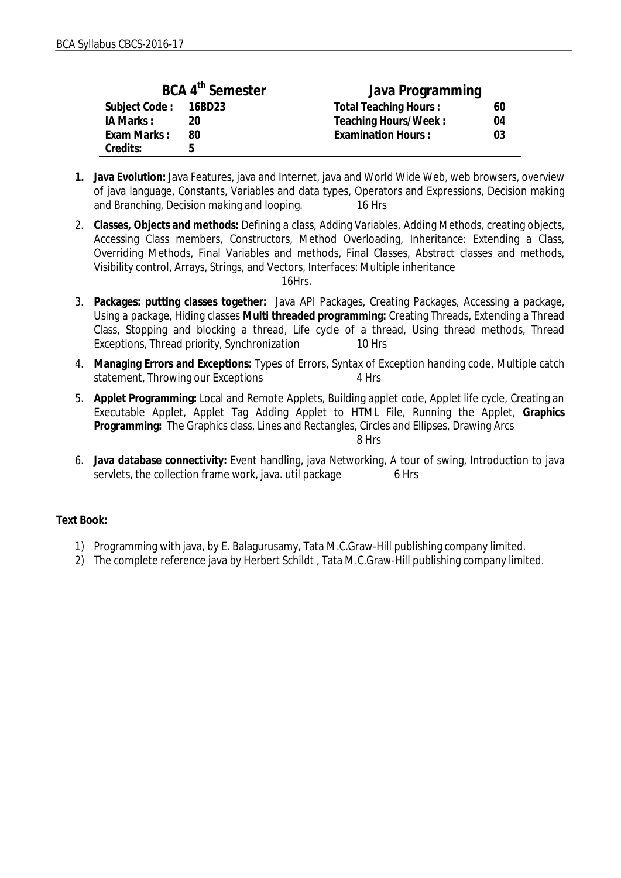| BCA 4 <sup>th</sup> Semester |    | Java Programming             |    |  |
|------------------------------|----|------------------------------|----|--|
| Subject Code: 16BD23         |    | <b>Total Teaching Hours:</b> | 60 |  |
| IA Marks:                    | 20 | Teaching Hours/Week:         | 04 |  |
| Exam Marks:                  | 80 | <b>Examination Hours:</b>    | 03 |  |
| Credits:                     | h  |                              |    |  |

- **1. Java Evolution:** Java Features, java and Internet, java and World Wide Web, web browsers, overview of java language, Constants, Variables and data types, Operators and Expressions, Decision making and Branching, Decision making and looping. 16 Hrs
- 2. **Classes, Objects and methods:** Defining a class, Adding Variables, Adding Methods, creating objects, Accessing Class members, Constructors, Method Overloading, Inheritance: Extending a Class, Overriding Methods, Final Variables and methods, Final Classes, Abstract classes and methods, Visibility control, Arrays, Strings, and Vectors, Interfaces: Multiple inheritance

16Hrs.

- 3. **Packages: putting classes together:** Java API Packages, Creating Packages, Accessing a package, Using a package, Hiding classes **Multi threaded programming:** Creating Threads, Extending a Thread Class, Stopping and blocking a thread, Life cycle of a thread, Using thread methods, Thread Exceptions, Thread priority, Synchronization 10 Hrs
- 4. **Managing Errors and Exceptions:** Types of Errors, Syntax of Exception handing code, Multiple catch statement, Throwing our Exceptions 4 Hrs
- 5. **Applet Programming:** Local and Remote Applets, Building applet code, Applet life cycle, Creating an Executable Applet, Applet Tag Adding Applet to HTML File, Running the Applet, **Graphics Programming:** The Graphics class, Lines and Rectangles, Circles and Ellipses, Drawing Arcs

8 Hrs

6. **Java database connectivity:** Event handling, java Networking, A tour of swing, Introduction to java servlets, the collection frame work, java. util package 6 Hrs

**Text Book:**

- 1) Programming with java, by E. Balagurusamy, Tata M.C.Graw-Hill publishing company limited.
- 2) The complete reference java by Herbert Schildt , Tata M.C.Graw-Hill publishing company limited.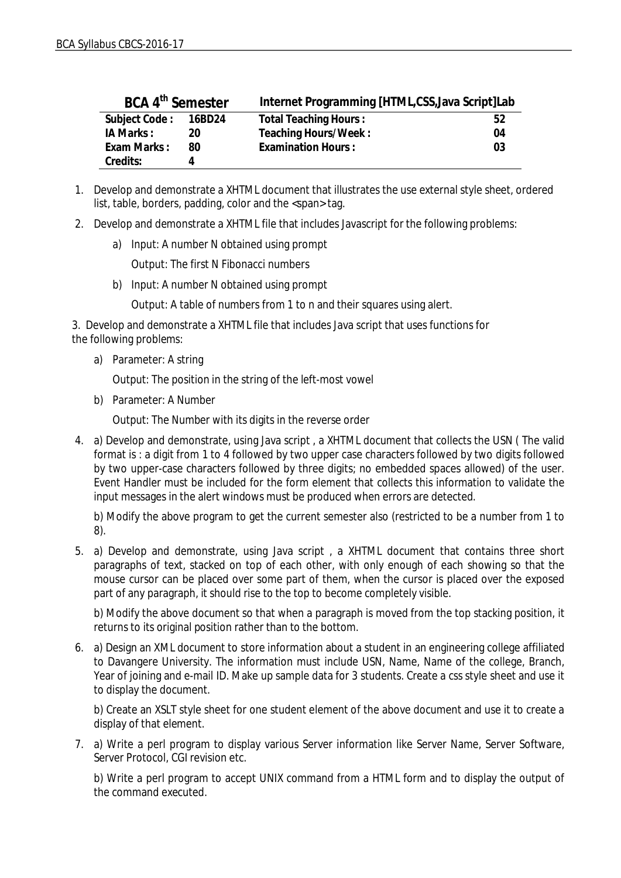| BCA 4 <sup>th</sup> Semester |    | Internet Programming [HTML,CSS, Java Script]Lab |    |
|------------------------------|----|-------------------------------------------------|----|
| Subject Code: 16BD24         |    | <b>Total Teaching Hours:</b>                    | 52 |
| IA Marks:                    | 20 | Teaching Hours/Week:                            | 04 |
| Exam Marks:                  | 80 | <b>Examination Hours:</b>                       | 03 |
| Credits:                     | 4  |                                                 |    |

- 1. Develop and demonstrate a XHTML document that illustrates the use external style sheet, ordered list, table, borders, padding, color and the <span> tag.
- 2. Develop and demonstrate a XHTML file that includes Javascript for the following problems:
	- a) Input: A number N obtained using prompt

Output: The first N Fibonacci numbers

b) Input: A number N obtained using prompt

Output: A table of numbers from 1 to n and their squares using alert.

3. Develop and demonstrate a XHTML file that includes Java script that uses functions for the following problems:

a) Parameter: A string

Output: The position in the string of the left-most vowel

b) Parameter: A Number

Output: The Number with its digits in the reverse order

4. a) Develop and demonstrate, using Java script , a XHTML document that collects the USN ( The valid format is : a digit from 1 to 4 followed by two upper case characters followed by two digits followed by two upper-case characters followed by three digits; no embedded spaces allowed) of the user. Event Handler must be included for the form element that collects this information to validate the input messages in the alert windows must be produced when errors are detected.

b) Modify the above program to get the current semester also (restricted to be a number from 1 to 8).

5. a) Develop and demonstrate, using Java script , a XHTML document that contains three short paragraphs of text, stacked on top of each other, with only enough of each showing so that the mouse cursor can be placed over some part of them, when the cursor is placed over the exposed part of any paragraph, it should rise to the top to become completely visible.

b) Modify the above document so that when a paragraph is moved from the top stacking position, it returns to its original position rather than to the bottom.

6. a) Design an XML document to store information about a student in an engineering college affiliated to Davangere University. The information must include USN, Name, Name of the college, Branch, Year of joining and e-mail ID. Make up sample data for 3 students. Create a css style sheet and use it to display the document.

b) Create an XSLT style sheet for one student element of the above document and use it to create a display of that element.

7. a) Write a perl program to display various Server information like Server Name, Server Software, Server Protocol, CGI revision etc.

b) Write a perl program to accept UNIX command from a HTML form and to display the output of the command executed.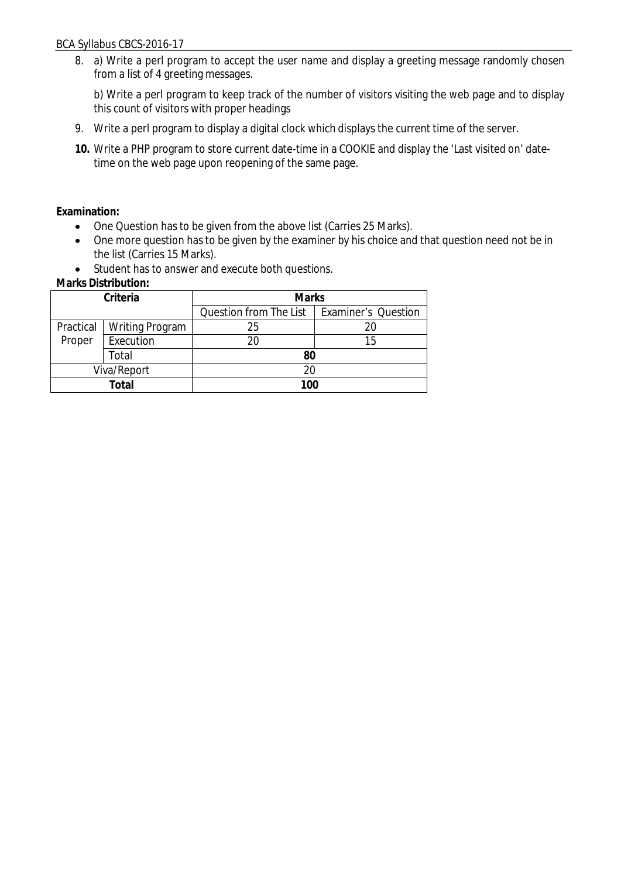8. a) Write a perl program to accept the user name and display a greeting message randomly chosen from a list of 4 greeting messages.

b) Write a perl program to keep track of the number of visitors visiting the web page and to display this count of visitors with proper headings

- 9. Write a perl program to display a digital clock which displays the current time of the server.
- **10.** Write a PHP program to store current date-time in a COOKIE and display the 'Last visited on' datetime on the web page upon reopening of the same page.

**Examination:**

- One Question has to be given from the above list (Carries 25 Marks).
- One more question has to be given by the examiner by his choice and that question need not be in the list (Carries 15 Marks).
- Student has to answer and execute both questions.

| Criteria    |                        | <b>Marks</b>           |                            |  |
|-------------|------------------------|------------------------|----------------------------|--|
|             |                        | Question from The List | <b>Examiner's Question</b> |  |
| Practical   | <b>Writing Program</b> | 25                     |                            |  |
| Proper      | Execution              | 20                     | 15                         |  |
|             | Total                  |                        |                            |  |
| Viva/Report |                        | 20                     |                            |  |
| Total       |                        | 100                    |                            |  |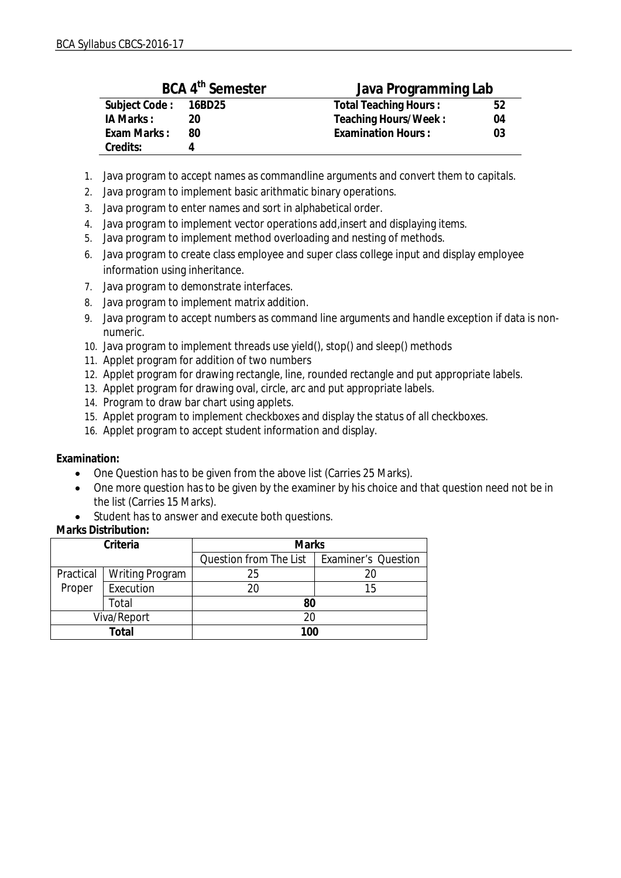| BCA 4 <sup>th</sup> Semester |    | Java Programming Lab      |    |  |
|------------------------------|----|---------------------------|----|--|
| Subject Code: 16BD25         |    | Total Teaching Hours:     | 52 |  |
| IA Marks:                    | 20 | Teaching Hours/Week:      | 04 |  |
| Exam Marks:                  | 80 | <b>Examination Hours:</b> | 03 |  |
| Credits:                     |    |                           |    |  |

- 1. Java program to accept names as commandline arguments and convert them to capitals.
- 2. Java program to implement basic arithmatic binary operations.
- 3. Java program to enter names and sort in alphabetical order.
- 4. Java program to implement vector operations add,insert and displaying items.
- 5. Java program to implement method overloading and nesting of methods.
- 6. Java program to create class employee and super class college input and display employee information using inheritance.
- 7. Java program to demonstrate interfaces.
- 8. Java program to implement matrix addition.
- 9. Java program to accept numbers as command line arguments and handle exception if data is nonnumeric.
- 10. Java program to implement threads use yield(), stop() and sleep() methods
- 11. Applet program for addition of two numbers
- 12. Applet program for drawing rectangle, line, rounded rectangle and put appropriate labels.
- 13. Applet program for drawing oval, circle, arc and put appropriate labels.
- 14. Program to draw bar chart using applets.
- 15. Applet program to implement checkboxes and display the status of all checkboxes.
- 16. Applet program to accept student information and display.

**Examination:**

- One Question has to be given from the above list (Carries 25 Marks).
- One more question has to be given by the examiner by his choice and that question need not be in the list (Carries 15 Marks).
- Student has to answer and execute both questions.

| Criteria    |                 | <b>Marks</b>           |                            |  |
|-------------|-----------------|------------------------|----------------------------|--|
|             |                 | Question from The List | <b>Examiner's Question</b> |  |
| Practical   | Writing Program | 25                     |                            |  |
| Proper      | Execution       | 20                     | 15                         |  |
|             | Total           |                        |                            |  |
| Viva/Report |                 |                        |                            |  |
| Total       |                 | 100                    |                            |  |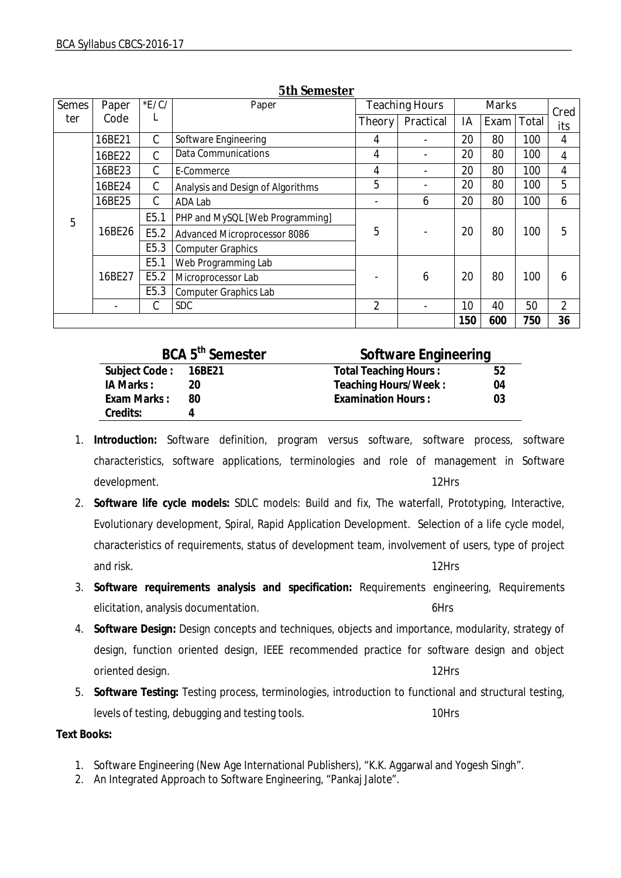| <b>Semes</b>    | Paper                      | E/C              | Paper                             |                | <b>Teaching Hours</b> | <b>Marks</b> |      |       | Cred |
|-----------------|----------------------------|------------------|-----------------------------------|----------------|-----------------------|--------------|------|-------|------|
| ter             | Code                       | L                |                                   | <b>Theory</b>  | Practical             | IA           | Exam | Total | its  |
|                 | 16BE21                     | $\mathsf{C}$     | Software Engineering              | 4              |                       | 20           | 80   | 100   | 4    |
|                 | 16BE22                     | C                | <b>Data Communications</b>        | 4              |                       | 20           | 80   | 100   | 4    |
|                 | 16BE23                     | C                | E-Commerce                        | $\overline{4}$ |                       | 20           | 80   | 100   | 4    |
|                 | 16BE24                     | C                | Analysis and Design of Algorithms | 5              |                       | 20           | 80   | 100   | 5    |
|                 | 16BE25                     | C                | ADA Lab                           |                | 6                     | 20           | 80   | 100   | 6    |
| 5               |                            | E <sub>5.1</sub> | PHP and MySQL [Web Programming]   |                |                       |              |      |       |      |
| 16BE26          |                            | E5.2             | Advanced Microprocessor 8086      | 5              |                       | 20           | 80   | 100   | 5    |
|                 |                            | E <sub>5.3</sub> | <b>Computer Graphics</b>          |                |                       |              |      |       |      |
|                 |                            | E <sub>5.1</sub> | Web Programming Lab               |                |                       |              |      |       |      |
| 16BE27          | E5.2<br>Microprocessor Lab |                  |                                   | 6              | 20                    | 80           | 100  | 6     |      |
|                 |                            | E5.3             | <b>Computer Graphics Lab</b>      |                |                       |              |      |       |      |
| <b>SDC</b><br>C |                            | $\overline{2}$   |                                   | 10             | 40                    | 50           | 2    |       |      |
|                 |                            |                  |                                   |                |                       | 150          | 600  | 750   | 36   |

#### **5th Semester**

| BCA 5 <sup>th</sup> Semester |    | Software Engineering         |    |
|------------------------------|----|------------------------------|----|
| Subject Code: 16BE21         |    | <b>Total Teaching Hours:</b> | 52 |
| IA Marks:                    | 20 | Teaching Hours/Week:         | 04 |
| Exam Marks:                  | 80 | <b>Examination Hours:</b>    | 03 |
| Credits:                     |    |                              |    |

- 1. **Introduction:** Software definition, program versus software, software process, software characteristics, software applications, terminologies and role of management in Software development. The contract of the contract of the contract of the contract of the contract of the contract of the contract of the contract of the contract of the contract of the contract of the contract of the contract of t
- 2. **Software life cycle models:** SDLC models: Build and fix, The waterfall, Prototyping, Interactive, Evolutionary development, Spiral, Rapid Application Development. Selection of a life cycle model, characteristics of requirements, status of development team, involvement of users, type of project and risk. 12Hrs
- 3. **Software requirements analysis and specification:** Requirements engineering, Requirements elicitation, analysis documentation. The state of the state of the state of the state of the state of the state of the state of the state of the state of the state of the state of the state of the state of the state of the
- 4. **Software Design:** Design concepts and techniques, objects and importance, modularity, strategy of design, function oriented design, IEEE recommended practice for software design and object oriented design. 12Hrs
- 5. **Software Testing:** Testing process, terminologies, introduction to functional and structural testing, levels of testing, debugging and testing tools. 10Hrs

**Text Books:**

- 1. Software Engineering (New Age International Publishers), "K.K. Aggarwal and Yogesh Singh".
- 2. An Integrated Approach to Software Engineering, "Pankaj Jalote".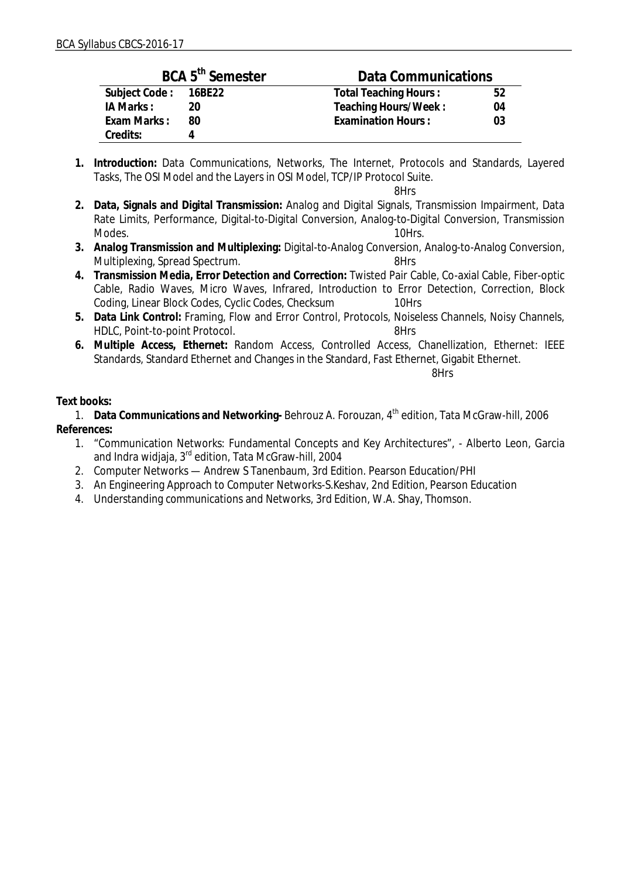| BCA 5 <sup>th</sup> Semester |    | Data Communications       |    |  |
|------------------------------|----|---------------------------|----|--|
| Subject Code: 16BE22         |    | Total Teaching Hours:     | 52 |  |
| IA Marks:                    | 20 | Teaching Hours/Week:      | 04 |  |
| Exam Marks:                  | 80 | <b>Examination Hours:</b> | 03 |  |
| Credits:                     |    |                           |    |  |

**1. Introduction:** Data Communications, Networks, The Internet, Protocols and Standards, Layered Tasks, The OSI Model and the Layers in OSI Model, TCP/IP Protocol Suite.

8Hrs

- **2. Data, Signals and Digital Transmission:** Analog and Digital Signals, Transmission Impairment, Data Rate Limits, Performance, Digital-to-Digital Conversion, Analog-to-Digital Conversion, Transmission Modes. 10Hrs.
- **3. Analog Transmission and Multiplexing:** Digital-to-Analog Conversion, Analog-to-Analog Conversion, Multiplexing, Spread Spectrum. 6-12-12-20 and 1-12-12-20 and 1-12-12-20 and 1-12-
- **4. Transmission Media, Error Detection and Correction:** Twisted Pair Cable, Co-axial Cable, Fiber-optic Cable, Radio Waves, Micro Waves, Infrared, Introduction to Error Detection, Correction, Block Coding, Linear Block Codes, Cyclic Codes, Checksum 10Hrs
- **5. Data Link Control:** Framing, Flow and Error Control, Protocols, Noiseless Channels, Noisy Channels, HDLC, Point-to-point Protocol. 8Hrs
- **6. Multiple Access, Ethernet:** Random Access, Controlled Access, Chanellization, Ethernet: IEEE Standards, Standard Ethernet and Changes in the Standard, Fast Ethernet, Gigabit Ethernet.

8Hrs

### **Text books:**

1. **Data Communications and Networking-** Behrouz A. Forouzan, 4th edition, Tata McGraw-hill, 2006 **References:**

- 1. "Communication Networks: Fundamental Concepts and Key Architectures", Alberto Leon, Garcia and Indra widjaja, 3<sup>rd</sup> edition, Tata McGraw-hill, 2004
- 2. Computer Networks Andrew S Tanenbaum, 3rd Edition. Pearson Education/PHI
- 3. An Engineering Approach to Computer Networks-S.Keshav, 2nd Edition, Pearson Education
- 4. Understanding communications and Networks, 3rd Edition, W.A. Shay, Thomson.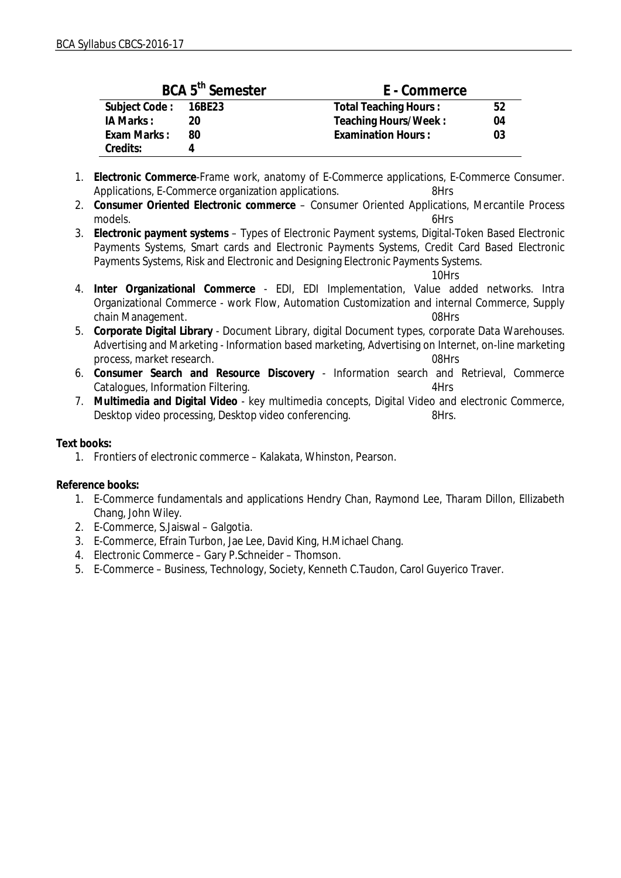| BCA 5 <sup>th</sup> Semester |    | E - Commerce                    |  |
|------------------------------|----|---------------------------------|--|
| Subject Code: 16BE23         |    | Total Teaching Hours:<br>52     |  |
| IA Marks:                    | 20 | Teaching Hours/Week:<br>04      |  |
| Exam Marks:                  | 80 | <b>Examination Hours:</b><br>03 |  |
| Credits:                     |    |                                 |  |

- 1. **Electronic Commerce**-Frame work, anatomy of E-Commerce applications, E-Commerce Consumer. Applications, E-Commerce organization applications. 8Hrs
- 2. **Consumer Oriented Electronic commerce** Consumer Oriented Applications, Mercantile Process models. 6Hrs
- 3. **Electronic payment systems** Types of Electronic Payment systems, Digital-Token Based Electronic Payments Systems, Smart cards and Electronic Payments Systems, Credit Card Based Electronic Payments Systems, Risk and Electronic and Designing Electronic Payments Systems.

10Hrs

- 4. **Inter Organizational Commerce** EDI, EDI Implementation, Value added networks. Intra Organizational Commerce - work Flow, Automation Customization and internal Commerce, Supply chain Management. **08Hrs**
- 5. **Corporate Digital Library** Document Library, digital Document types, corporate Data Warehouses. Advertising and Marketing - Information based marketing, Advertising on Internet, on-line marketing process, market research. 08Hrs
- 6. **Consumer Search and Resource Discovery** Information search and Retrieval, Commerce Catalogues, Information Filtering. **4Hrs** 4Hrs
- 7. **Multimedia and Digital Video** key multimedia concepts, Digital Video and electronic Commerce, Desktop video processing, Desktop video conferencing.

**Text books:**

1. Frontiers of electronic commerce – Kalakata, Whinston, Pearson.

**Reference books:**

- 1. E-Commerce fundamentals and applications Hendry Chan, Raymond Lee, Tharam Dillon, Ellizabeth Chang, John Wiley.
- 2. E-Commerce, S.Jaiswal Galgotia.
- 3. E-Commerce, Efrain Turbon, Jae Lee, David King, H.Michael Chang.
- 4. Electronic Commerce Gary P.Schneider Thomson.
- 5. E-Commerce Business, Technology, Society, Kenneth C.Taudon, Carol Guyerico Traver.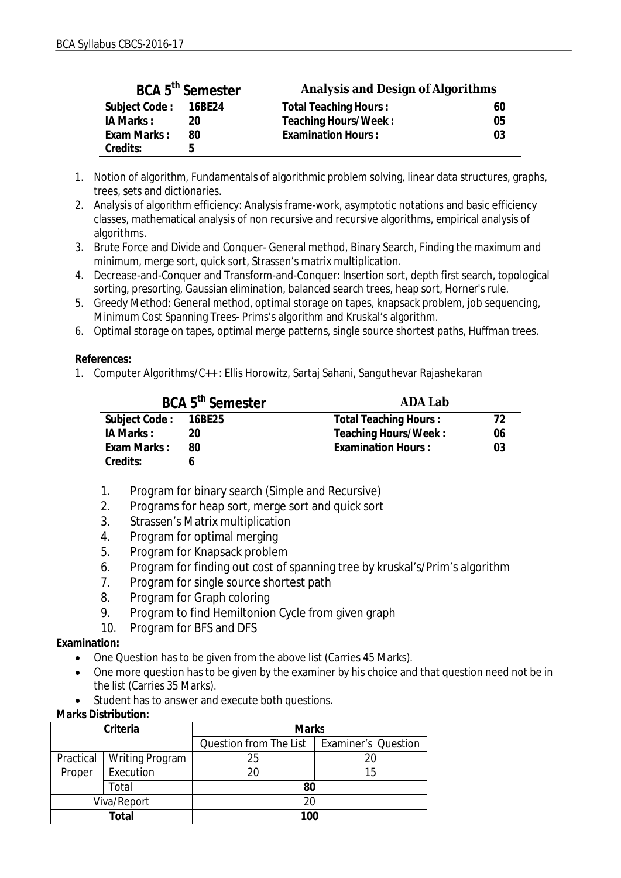| BCA 5 <sup>th</sup> Semester |    | Analysis and Design of Algorithms |    |  |
|------------------------------|----|-----------------------------------|----|--|
| Subject Code: 16BE24         |    | Total Teaching Hours:             | 60 |  |
| IA Marks:                    | 20 | Teaching Hours/Week:              | 05 |  |
| Exam Marks:                  | 80 | <b>Examination Hours:</b>         | 03 |  |
| Credits:                     | h  |                                   |    |  |

- 1. Notion of algorithm, Fundamentals of algorithmic problem solving, linear data structures, graphs, trees, sets and dictionaries.
- 2. Analysis of algorithm efficiency: Analysis frame-work, asymptotic notations and basic efficiency classes, mathematical analysis of non recursive and recursive algorithms, empirical analysis of algorithms.
- 3. Brute Force and Divide and Conquer- General method, Binary Search, Finding the maximum and minimum, merge sort, quick sort, Strassen's matrix multiplication.
- 4. Decrease-and-Conquer and Transform-and-Conquer: Insertion sort, depth first search, topological sorting, presorting, Gaussian elimination, balanced search trees, heap sort, Horner's rule.
- 5. Greedy Method: General method, optimal storage on tapes, knapsack problem, job sequencing, Minimum Cost Spanning Trees- Prims's algorithm and Kruskal's algorithm.
- 6. Optimal storage on tapes, optimal merge patterns, single source shortest paths, Huffman trees.

**References:** 

1. Computer Algorithms/C++ : Ellis Horowitz, Sartaj Sahani, Sanguthevar Rajashekaran

| BCA 5 <sup>th</sup> Semester |    | ADA Lab               |    |  |
|------------------------------|----|-----------------------|----|--|
| Subject Code: 16BE25         |    | Total Teaching Hours: | 72 |  |
| IA Marks:                    | 20 | Teaching Hours/Week:  | 06 |  |
| Exam Marks:                  | 80 | Examination Hours:    | 03 |  |
| Credits:                     |    |                       |    |  |

- 1. Program for binary search (Simple and Recursive)
- 2. Programs for heap sort, merge sort and quick sort
- 3. Strassen's Matrix multiplication
- 4. Program for optimal merging
- 5. Program for Knapsack problem
- 6. Program for finding out cost of spanning tree by kruskal's/Prim's algorithm
- 7. Program for single source shortest path
- 8. Program for Graph coloring
- 9. Program to find Hemiltonion Cycle from given graph
- 10. Program for BFS and DFS

**Examination:**

- One Question has to be given from the above list (Carries 45 Marks).
- One more question has to be given by the examiner by his choice and that question need not be in the list (Carries 35 Marks).
- Student has to answer and execute both questions.

| Marks Distribution: |
|---------------------|
|---------------------|

| Criteria    |                 | <b>Marks</b>                                 |    |
|-------------|-----------------|----------------------------------------------|----|
|             |                 | Question from The List   Examiner's Question |    |
| Practical   | Writing Program | 25                                           | 20 |
| Proper      | Execution       | 20                                           | 15 |
|             | Total           |                                              |    |
| Viva/Report |                 | 20                                           |    |
| Total       |                 | 100                                          |    |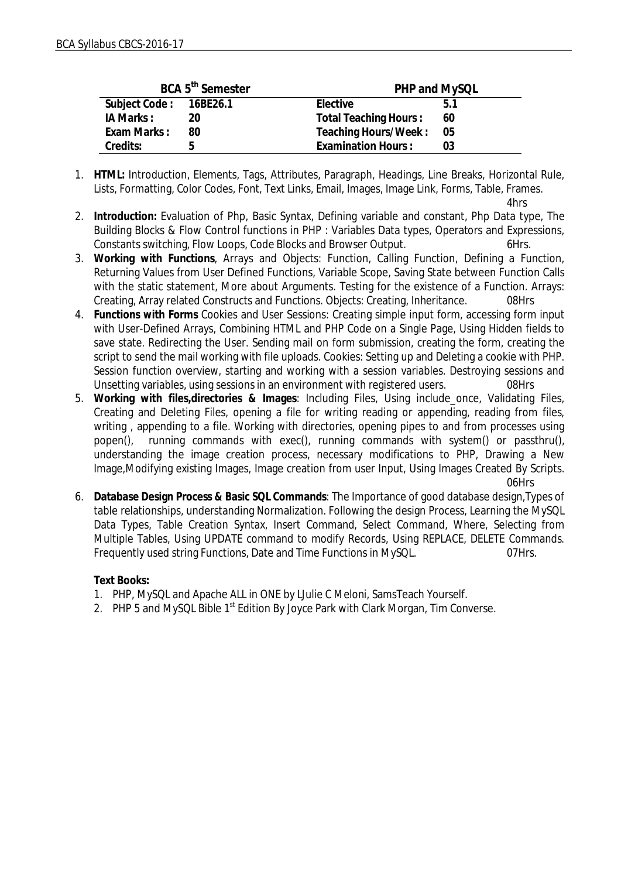| BCA 5 <sup>th</sup> Semester |    | PHP and MySQL         |      |
|------------------------------|----|-----------------------|------|
| Subject Code: 16BE26.1       |    | Elective<br>51        |      |
| IA Marks:                    | 20 | Total Teaching Hours: | 60   |
| Exam Marks:                  | 80 | Teaching Hours/Week:  | - 05 |
| Credits:                     | h  | Examination Hours:    | 03   |

1. **HTML:** Introduction, Elements, Tags, Attributes, Paragraph, Headings, Line Breaks, Horizontal Rule, Lists, Formatting, Color Codes, Font, Text Links, Email, Images, Image Link, Forms, Table, Frames.

4hrs

- 2. **Introduction:** Evaluation of Php, Basic Syntax, Defining variable and constant, Php Data type, The Building Blocks & Flow Control functions in PHP : Variables Data types, Operators and Expressions, Constants switching, Flow Loops, Code Blocks and Browser Output. 6Hrs.
- 3. **Working with Functions**, Arrays and Objects: Function, Calling Function, Defining a Function, Returning Values from User Defined Functions, Variable Scope, Saving State between Function Calls with the static statement, More about Arguments. Testing for the existence of a Function. Arrays: Creating, Array related Constructs and Functions. Objects: Creating, Inheritance. 08Hrs
- 4. **Functions with Forms** Cookies and User Sessions: Creating simple input form, accessing form input with User-Defined Arrays, Combining HTML and PHP Code on a Single Page, Using Hidden fields to save state. Redirecting the User. Sending mail on form submission, creating the form, creating the script to send the mail working with file uploads. Cookies: Setting up and Deleting a cookie with PHP. Session function overview, starting and working with a session variables. Destroying sessions and Unsetting variables, using sessions in an environment with registered users. 08Hrs
- 5. **Working with files,directories & Images**: Including Files, Using include\_once, Validating Files, Creating and Deleting Files, opening a file for writing reading or appending, reading from files, writing , appending to a file. Working with directories, opening pipes to and from processes using popen(), running commands with exec(), running commands with system() or passthru(), understanding the image creation process, necessary modifications to PHP, Drawing a New Image,Modifying existing Images, Image creation from user Input, Using Images Created By Scripts.

06Hrs

6. **Database Design Process & Basic SQL Commands**: The Importance of good database design,Types of table relationships, understanding Normalization. Following the design Process, Learning the MySQL Data Types, Table Creation Syntax, Insert Command, Select Command, Where, Selecting from Multiple Tables, Using UPDATE command to modify Records, Using REPLACE, DELETE Commands. Frequently used string Functions, Date and Time Functions in MySQL. 07Hrs.

**Text Books:**

- 1. PHP, MySQL and Apache ALL in ONE by LJulie C Meloni, SamsTeach Yourself.
- 2. PHP 5 and MySQL Bible 1<sup>st</sup> Edition By Joyce Park with Clark Morgan, Tim Converse.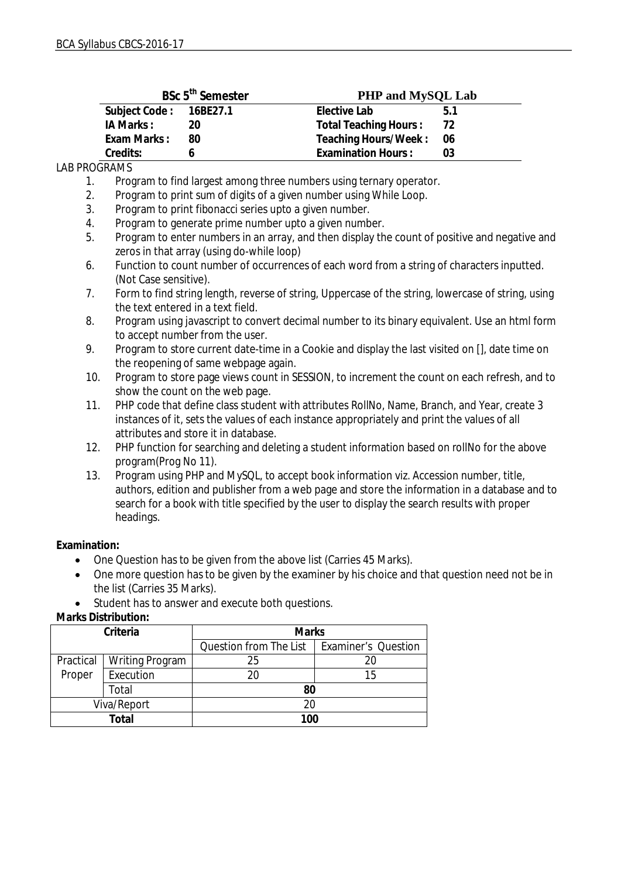| BSc 5 <sup>th</sup> Semester |    | PHP and MySQL Lab               |
|------------------------------|----|---------------------------------|
| Subject Code: 16BE27.1       |    | Elective Lab<br>51              |
| IA Marks:                    | 20 | Total Teaching Hours:<br>72     |
| Exam Marks:                  | 80 | Teaching Hours/Week:<br>- 06    |
| Credits:                     |    | <b>Examination Hours:</b><br>03 |

LAB PROGRAMS

1. Program to find largest among three numbers using ternary operator.

2. Program to print sum of digits of a given number using While Loop.

- 3. Program to print fibonacci series upto a given number.
- 4. Program to generate prime number upto a given number.

5. Program to enter numbers in an array, and then display the count of positive and negative and zeros in that array (using do-while loop)

- 6. Function to count number of occurrences of each word from a string of characters inputted. (Not Case sensitive).
- 7. Form to find string length, reverse of string, Uppercase of the string, lowercase of string, using the text entered in a text field.
- 8. Program using javascript to convert decimal number to its binary equivalent. Use an html form to accept number from the user.
- 9. Program to store current date-time in a Cookie and display the last visited on [], date time on the reopening of same webpage again.
- 10. Program to store page views count in SESSION, to increment the count on each refresh, and to show the count on the web page.
- 11. PHP code that define class student with attributes RollNo, Name, Branch, and Year, create 3 instances of it, sets the values of each instance appropriately and print the values of all attributes and store it in database.
- 12. PHP function for searching and deleting a student information based on rollNo for the above program(Prog No 11).
- 13. Program using PHP and MySQL, to accept book information viz. Accession number, title, authors, edition and publisher from a web page and store the information in a database and to search for a book with title specified by the user to display the search results with proper headings.

**Examination:**

- One Question has to be given from the above list (Carries 45 Marks).
- One more question has to be given by the examiner by his choice and that question need not be in the list (Carries 35 Marks).
- Student has to answer and execute both questions.

| <b>Marks Distribution:</b> |  |  |
|----------------------------|--|--|
|                            |  |  |

| Criteria    |                        | <b>Marks</b>           |                            |
|-------------|------------------------|------------------------|----------------------------|
|             |                        | Question from The List | <b>Examiner's Question</b> |
| Practical   | <b>Writing Program</b> | 25                     | 20                         |
| Proper      | Execution              | 20                     | 15                         |
| Total       |                        | 80                     |                            |
| Viva/Report |                        | 20                     |                            |
| Total       |                        | 100                    |                            |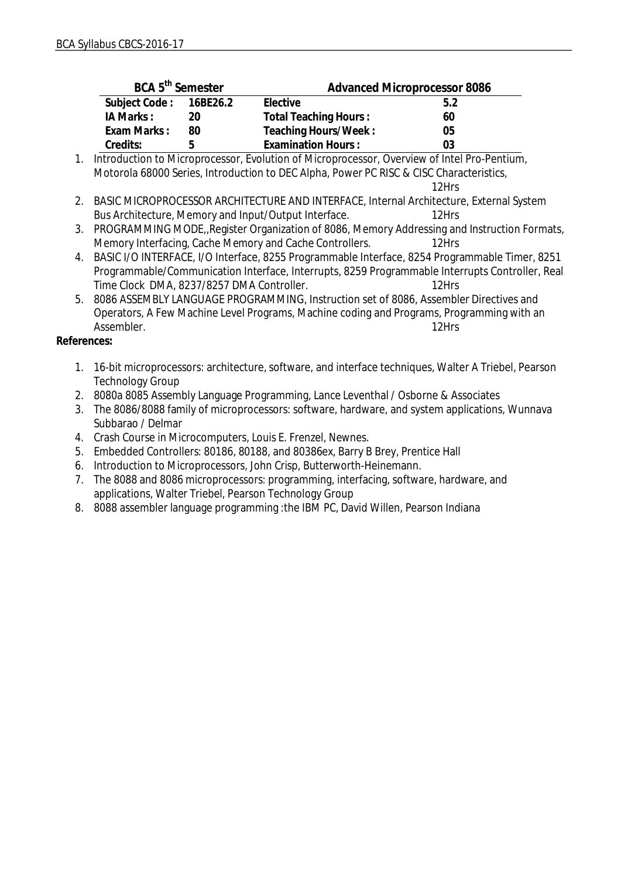| BCA 5 <sup>th</sup> Semester |    | <b>Advanced Microprocessor 8086</b> |     |
|------------------------------|----|-------------------------------------|-----|
| Subject Code: 16BE26.2       |    | Elective                            | 5.2 |
| IA Marks:                    | 20 | Total Teaching Hours:               | 60  |
| Exam Marks:                  | 80 | Teaching Hours/Week:                | 05  |
| Credits:                     | h  | <b>Examination Hours:</b>           | 03  |

1. Introduction to Microprocessor, Evolution of Microprocessor, Overview of Intel Pro-Pentium, Motorola 68000 Series, Introduction to DEC Alpha, Power PC RISC & CISC Characteristics, 12Hrs

- 2. BASIC MICROPROCESSOR ARCHITECTURE AND INTERFACE, Internal Architecture, External System Bus Architecture, Memory and Input/Output Interface. 12Hrs
- 3. PROGRAMMING MODE,,Register Organization of 8086, Memory Addressing and Instruction Formats, Memory Interfacing, Cache Memory and Cache Controllers. 12Hrs
- 4. BASIC I/O INTERFACE, I/O Interface, 8255 Programmable Interface, 8254 Programmable Timer, 8251 Programmable/Communication Interface, Interrupts, 8259 Programmable Interrupts Controller, Real Time Clock DMA, 8237/8257 DMA Controller. 12Hrs
- 5. 8086 ASSEMBLY LANGUAGE PROGRAMMING, Instruction set of 8086, Assembler Directives and Operators, A Few Machine Level Programs, Machine coding and Programs, Programming with an Assembler. 12Hrs

**References:**

- 1. 16-bit microprocessors: architecture, software, and interface techniques, Walter A Triebel, Pearson Technology Group
- 2. 8080a 8085 Assembly Language Programming, Lance Leventhal / Osborne & Associates
- 3. The 8086/8088 family of microprocessors: software, hardware, and system applications, Wunnava Subbarao / Delmar
- 4. Crash Course in Microcomputers, Louis E. Frenzel, Newnes.
- 5. Embedded Controllers: 80186, 80188, and 80386ex, Barry B Brey, Prentice Hall
- 6. Introduction to Microprocessors, John Crisp, Butterworth-Heinemann.
- 7. The 8088 and 8086 microprocessors: programming, interfacing, software, hardware, and applications, Walter Triebel, Pearson Technology Group
- 8. 8088 assembler language programming :the IBM PC, David Willen, Pearson Indiana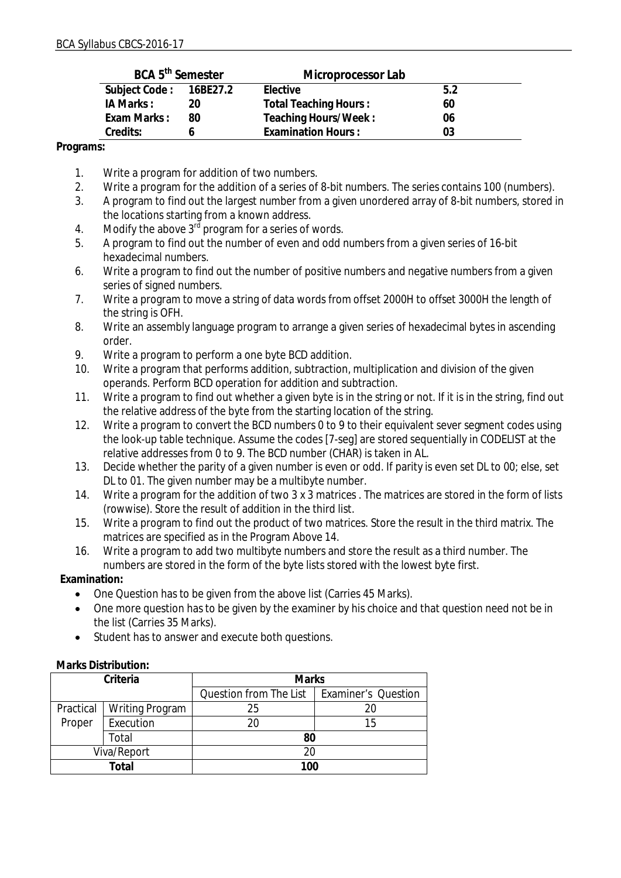| BCA 5 <sup>th</sup> Semester |    | Microprocessor Lab           |     |
|------------------------------|----|------------------------------|-----|
| Subject Code: 16BE27.2       |    | Elective                     | 5.2 |
| IA Marks:                    | 20 | <b>Total Teaching Hours:</b> | 60  |
| Exam Marks:                  | 80 | Teaching Hours/Week:         | 06  |
| Credits:                     |    | <b>Examination Hours:</b>    | 03  |

**Programs:**

- 1. Write a program for addition of two numbers.
- 2. Write a program for the addition of a series of 8-bit numbers. The series contains 100 (numbers).
- 3. A program to find out the largest number from a given unordered array of 8-bit numbers, stored in the locations starting from a known address.
- 4. Modify the above  $3^{rd}$  program for a series of words.
- 5. A program to find out the number of even and odd numbers from a given series of 16-bit hexadecimal numbers.
- 6. Write a program to find out the number of positive numbers and negative numbers from a given series of signed numbers.
- 7. Write a program to move a string of data words from offset 2000H to offset 3000H the length of the string is OFH.
- 8. Write an assembly language program to arrange a given series of hexadecimal bytes in ascending order.
- 9. Write a program to perform a one byte BCD addition.
- 10. Write a program that performs addition, subtraction, multiplication and division of the given operands. Perform BCD operation for addition and subtraction.
- 11. Write a program to find out whether a given byte is in the string or not. If it is in the string, find out the relative address of the byte from the starting location of the string.
- 12. Write a program to convert the BCD numbers 0 to 9 to their equivalent sever segment codes using the look-up table technique. Assume the codes [7-seg] are stored sequentially in CODELIST at the relative addresses from 0 to 9. The BCD number (CHAR) is taken in AL.
- 13. Decide whether the parity of a given number is even or odd. If parity is even set DL to 00; else, set DL to 01. The given number may be a multibyte number.
- 14. Write a program for the addition of two 3 x 3 matrices . The matrices are stored in the form of lists (rowwise). Store the result of addition in the third list.
- 15. Write a program to find out the product of two matrices. Store the result in the third matrix. The matrices are specified as in the Program Above 14.
- 16. Write a program to add two multibyte numbers and store the result as a third number. The numbers are stored in the form of the byte lists stored with the lowest byte first.

**Examination:**

- One Question has to be given from the above list (Carries 45 Marks).
- One more question has to be given by the examiner by his choice and that question need not be in the list (Carries 35 Marks).
- Student has to answer and execute both questions.

| Marks Distribution: |
|---------------------|
|---------------------|

| Criteria    |                 | <b>Marks</b>           |                            |
|-------------|-----------------|------------------------|----------------------------|
|             |                 | Question from The List | <b>Examiner's Question</b> |
| Practical   | Writing Program | 25                     |                            |
| Proper      | Execution       | 20                     | 15                         |
| Total       |                 | 80                     |                            |
| Viva/Report |                 | 20                     |                            |
| Total       |                 | 100                    |                            |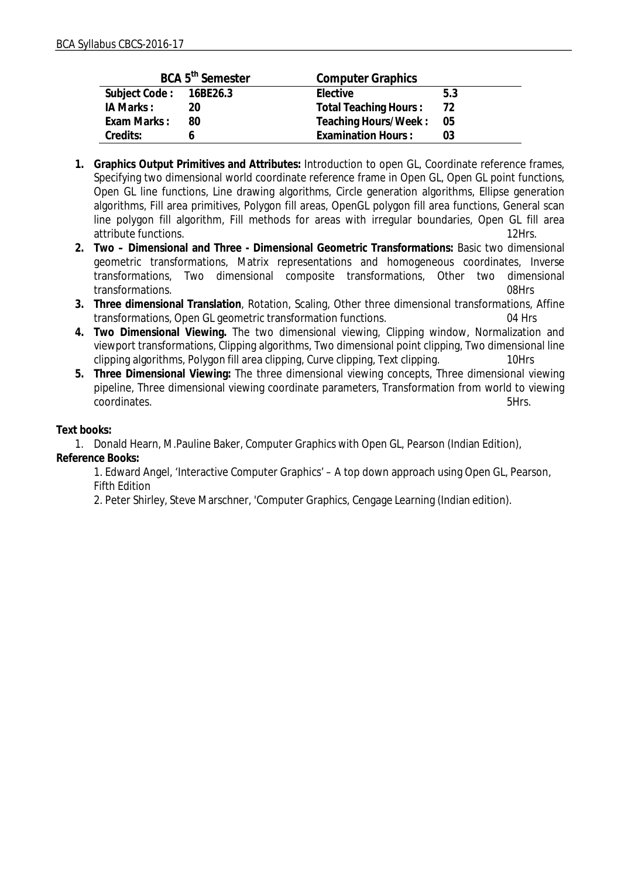|                        | BCA 5 <sup>th</sup> Semester | <b>Computer Graphics</b>  |      |
|------------------------|------------------------------|---------------------------|------|
| Subject Code: 16BE26.3 |                              | Elective                  | 5.3  |
| IA Marks:              | 20                           | Total Teaching Hours:     | 72   |
| Exam Marks:            | 80                           | Teaching Hours/Week:      | - 05 |
| Credits:               |                              | <b>Examination Hours:</b> | 03   |

- **1. Graphics Output Primitives and Attributes:** Introduction to open GL, Coordinate reference frames, Specifying two dimensional world coordinate reference frame in Open GL, Open GL point functions, Open GL line functions, Line drawing algorithms, Circle generation algorithms, Ellipse generation algorithms, Fill area primitives, Polygon fill areas, OpenGL polygon fill area functions, General scan line polygon fill algorithm, Fill methods for areas with irregular boundaries, Open GL fill area<br>attribute functions. 12Hrs. attribute functions.
- **2. Two Dimensional and Three Dimensional Geometric Transformations:** Basic two dimensional geometric transformations, Matrix representations and homogeneous coordinates, Inverse transformations, Two dimensional composite transformations, Other two dimensional transformations. 08Hrs
- **3. Three dimensional Translation**, Rotation, Scaling, Other three dimensional transformations, Affine transformations, Open GL geometric transformation functions. 04 Hrs
- **4. Two Dimensional Viewing.** The two dimensional viewing, Clipping window, Normalization and viewport transformations, Clipping algorithms, Two dimensional point clipping, Two dimensional line clipping algorithms, Polygon fill area clipping, Curve clipping, Text clipping. 10Hrs
- **5. Three Dimensional Viewing:** The three dimensional viewing concepts, Three dimensional viewing pipeline, Three dimensional viewing coordinate parameters, Transformation from world to viewing coordinates. 5Hrs.

**Text books:**

1. Donald Hearn, M.Pauline Baker, Computer Graphics with Open GL, Pearson (Indian Edition), **Reference Books:**

1. Edward Angel, 'Interactive Computer Graphics' – A top down approach using Open GL, Pearson, Fifth Edition

2. Peter Shirley, Steve Marschner, 'Computer Graphics, Cengage Learning (Indian edition).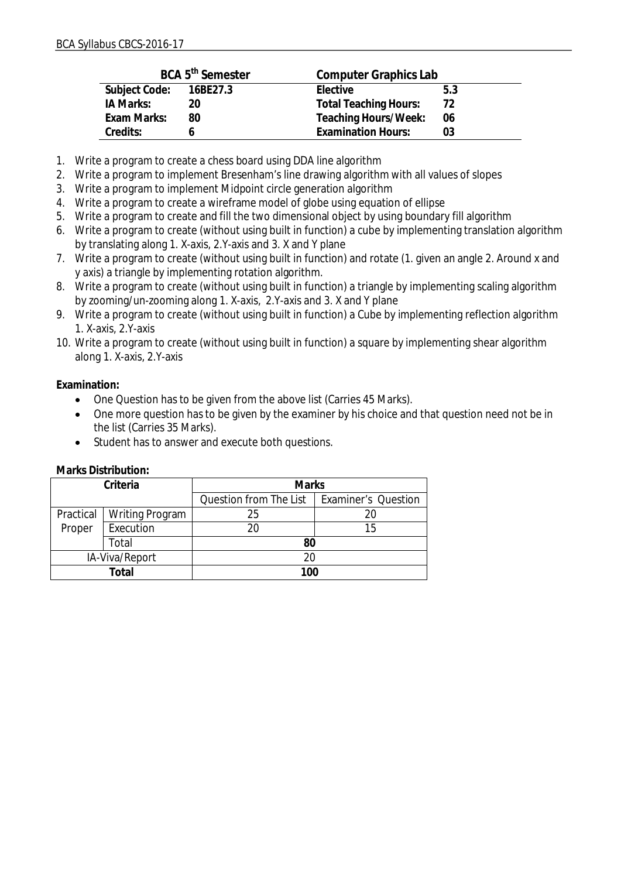|               | BCA 5 <sup>th</sup> Semester | Computer Graphics Lab        |     |
|---------------|------------------------------|------------------------------|-----|
| Subject Code: | 16BE27.3                     | Elective                     | 5.3 |
| IA Marks:     | 20                           | <b>Total Teaching Hours:</b> | 72  |
| Exam Marks:   | 80                           | Teaching Hours/Week:         | 06  |
| Credits:      |                              | <b>Examination Hours:</b>    | 03  |

- 1. Write a program to create a chess board using DDA line algorithm
- 2. Write a program to implement Bresenham's line drawing algorithm with all values of slopes
- 3. Write a program to implement Midpoint circle generation algorithm
- 4. Write a program to create a wireframe model of globe using equation of ellipse
- 5. Write a program to create and fill the two dimensional object by using boundary fill algorithm
- 6. Write a program to create (without using built in function) a cube by implementing translation algorithm by translating along 1. X-axis, 2.Y-axis and 3. X and Y plane
- 7. Write a program to create (without using built in function) and rotate (1. given an angle 2. Around x and y axis) a triangle by implementing rotation algorithm.
- 8. Write a program to create (without using built in function) a triangle by implementing scaling algorithm by zooming/un-zooming along 1. X-axis, 2.Y-axis and 3. X and Y plane
- 9. Write a program to create (without using built in function) a Cube by implementing reflection algorithm 1. X-axis, 2.Y-axis
- 10. Write a program to create (without using built in function) a square by implementing shear algorithm along 1. X-axis, 2.Y-axis

**Examination:**

- One Question has to be given from the above list (Carries 45 Marks).
- One more question has to be given by the examiner by his choice and that question need not be in the list (Carries 35 Marks).
- Student has to answer and execute both questions.

| Criteria       |                 | <b>Marks</b>           |                            |  |
|----------------|-----------------|------------------------|----------------------------|--|
|                |                 | Question from The List | <b>Examiner's Question</b> |  |
| Practical      | Writing Program | 25                     |                            |  |
| Proper         | Execution       | 20                     | 15                         |  |
| Total          |                 | 80                     |                            |  |
| IA-Viva/Report |                 | 20                     |                            |  |
|                | Total           | 100                    |                            |  |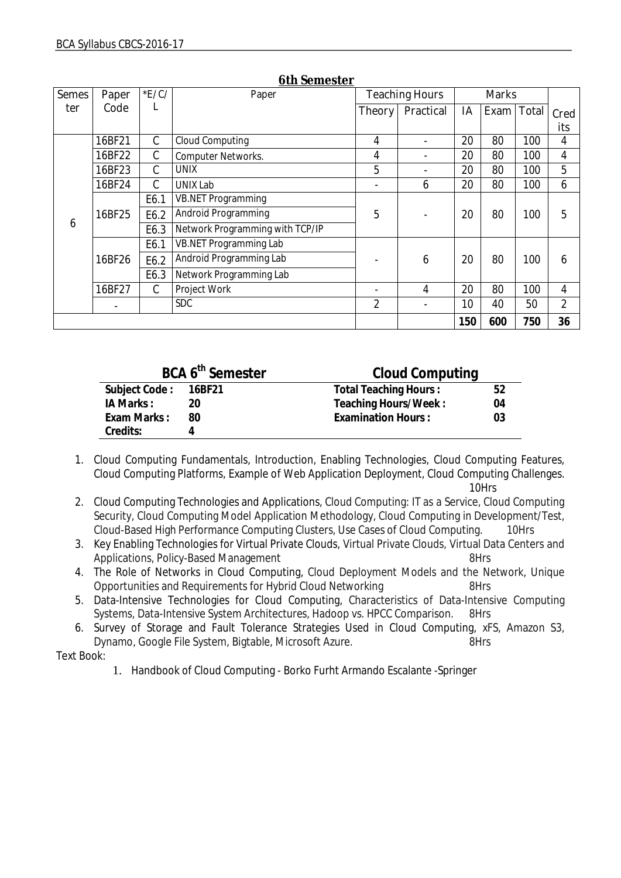| <b>Semes</b> | Paper  | E/C/          | Paper                           | <b>Teaching Hours</b> |                          | <b>Marks</b> |            |     |                |
|--------------|--------|---------------|---------------------------------|-----------------------|--------------------------|--------------|------------|-----|----------------|
| ter          | Code   | L             |                                 | Theory                | Practical                | IA           | Exam Total |     | Cred           |
|              |        |               |                                 |                       |                          |              |            |     | its            |
|              | 16BF21 | C             | Cloud Computing                 | 4                     |                          | 20           | 80         | 100 | 4              |
|              | 16BF22 | C             | Computer Networks.              | 4                     |                          | 20           | 80         | 100 | 4              |
|              | 16BF23 | $\mathcal{C}$ | <b>UNIX</b>                     | 5                     | $\overline{\phantom{0}}$ | 20           | 80         | 100 | 5              |
|              | 16BF24 | C             | UNIX Lab                        |                       | 6                        | 20           | 80         | 100 | 6              |
|              |        | E6.1          | <b>VB.NET Programming</b>       |                       |                          |              |            |     |                |
| 16BF25       |        | E6.2          | Android Programming             | 5                     |                          | 20           | 80         | 100 | 5              |
| 6            |        | E6.3          | Network Programming with TCP/IP |                       |                          |              |            |     |                |
|              |        | E6.1          | VB.NET Programming Lab          |                       |                          |              |            |     |                |
|              | 16BF26 | E6.2          | Android Programming Lab         |                       | 6                        | 20           | 80         | 100 | 6              |
|              |        | E6.3          | Network Programming Lab         |                       |                          |              |            |     |                |
|              | 16BF27 | $\mathcal{C}$ | Project Work                    |                       | 4                        | 20           | 80         | 100 | 4              |
|              | -      |               | <b>SDC</b>                      | 2                     |                          | 10           | 40         | 50  | $\overline{2}$ |
|              |        |               |                                 |                       |                          | 150          | 600        | 750 | 36             |

#### **6th Semester**

| BCA 6 <sup>th</sup> Semester |    | Cloud Computing           |    |  |
|------------------------------|----|---------------------------|----|--|
| Subject Code: 16BF21         |    | Total Teaching Hours:     | 52 |  |
| IA Marks:                    | 20 | Teaching Hours/Week:      | 04 |  |
| Exam Marks:                  | 80 | <b>Examination Hours:</b> | 03 |  |
| Credits:                     |    |                           |    |  |

1. Cloud Computing Fundamentals, Introduction, Enabling Technologies, Cloud Computing Features, Cloud Computing Platforms, Example of Web Application Deployment, Cloud Computing Challenges.

10Hrs

- 2. Cloud Computing Technologies and Applications, Cloud Computing: IT as a Service, Cloud Computing Security, Cloud Computing Model Application Methodology, Cloud Computing in Development/Test, Cloud-Based High Performance Computing Clusters, Use Cases of Cloud Computing. 10Hrs
- 3. Key Enabling Technologies for Virtual Private Clouds, Virtual Private Clouds, Virtual Data Centers and Applications, Policy-Based Management 8Hrs
- 4. The Role of Networks in Cloud Computing, Cloud Deployment Models and the Network, Unique Opportunities and Requirements for Hybrid Cloud Networking 8Hrs
- 5. Data-Intensive Technologies for Cloud Computing, Characteristics of Data-Intensive Computing Systems, Data-Intensive System Architectures, Hadoop vs. HPCC Comparison. 8Hrs
- 6. Survey of Storage and Fault Tolerance Strategies Used in Cloud Computing, xFS, Amazon S3, Dynamo, Google File System, Bigtable, Microsoft Azure. 8Hrs

Text Book:

1. Handbook of Cloud Computing - Borko Furht Armando Escalante -Springer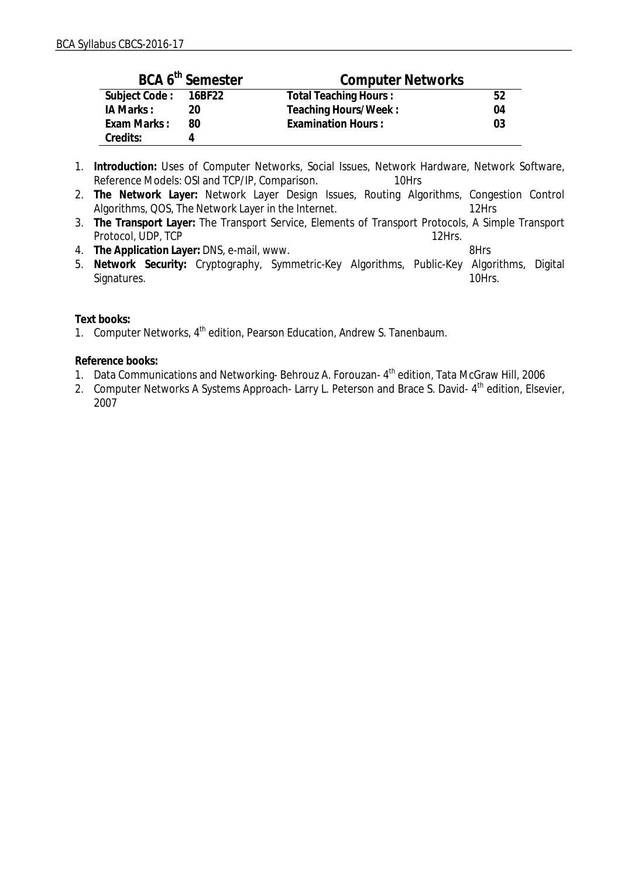|                      | BCA 6 <sup>th</sup> Semester | <b>Computer Networks</b>  |    |
|----------------------|------------------------------|---------------------------|----|
| Subject Code: 16BF22 |                              | Total Teaching Hours:     | 52 |
| IA Marks:            | 20                           | Teaching Hours/Week:      | 04 |
| Exam Marks:          | RΩ                           | <b>Examination Hours:</b> | 03 |
| Credits:             |                              |                           |    |

- 1. **Introduction:** Uses of Computer Networks, Social Issues, Network Hardware, Network Software, Reference Models: OSI and TCP/IP, Comparison. 10Hrs
- 2. **The Network Layer:** Network Layer Design Issues, Routing Algorithms, Congestion Control Algorithms, QOS, The Network Layer in the Internet. 12Hrs
- 3. **The Transport Layer:** The Transport Service, Elements of Transport Protocols, A Simple Transport Protocol, UDP, TCP 12Hrs.
- 4. **The Application Layer:** DNS, e-mail, www. 8Hrs
- 5. **Network Security:** Cryptography, Symmetric-Key Algorithms, Public-Key Algorithms, Digital Signatures. 10Hrs.

**Text books:**

1. Computer Networks, 4<sup>th</sup> edition, Pearson Education, Andrew S. Tanenbaum.

**Reference books:**

- 1. Data Communications and Networking- Behrouz A. Forouzan- 4<sup>th</sup> edition, Tata McGraw Hill, 2006
- 2. Computer Networks A Systems Approach- Larry L. Peterson and Brace S. David- 4<sup>th</sup> edition, Elsevier, 2007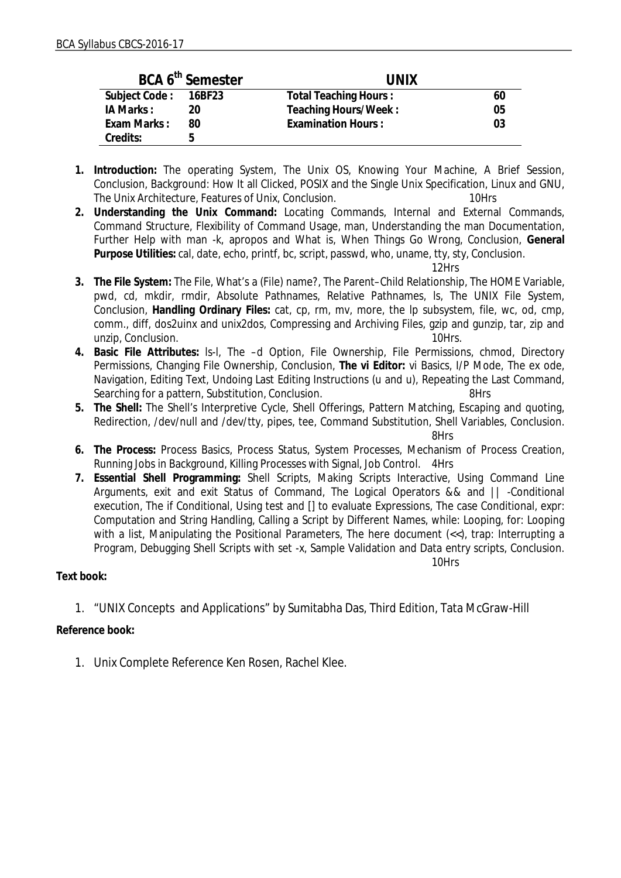|                      | BCA 6 <sup>th</sup> Semester | <b>UNIX</b>           |    |
|----------------------|------------------------------|-----------------------|----|
| Subject Code: 16BF23 |                              | Total Teaching Hours: | 60 |
| IA Marks:            |                              | Teaching Hours/Week:  | 05 |
| Exam Marks:          | 80                           | Examination Hours:    | 03 |
| Credits:             | h                            |                       |    |

- **1. Introduction:** The operating System, The Unix OS, Knowing Your Machine, A Brief Session, Conclusion, Background: How It all Clicked, POSIX and the Single Unix Specification, Linux and GNU, The Unix Architecture, Features of Unix, Conclusion. 10Hrs
- **2. Understanding the Unix Command:** Locating Commands, Internal and External Commands, Command Structure, Flexibility of Command Usage, man, Understanding the man Documentation, Further Help with man -k, apropos and What is, When Things Go Wrong, Conclusion, **General Purpose Utilities:** cal, date, echo, printf, bc, script, passwd, who, uname, tty, sty, Conclusion.

12Hrs

- **3. The File System:** The File, What's a (File) name?, The Parent–Child Relationship, The HOME Variable, pwd, cd, mkdir, rmdir, Absolute Pathnames, Relative Pathnames, ls, The UNIX File System, Conclusion, **Handling Ordinary Files:** cat, cp, rm, mv, more, the lp subsystem, file, wc, od, cmp, comm., diff, dos2uinx and unix2dos, Compressing and Archiving Files, gzip and gunzip, tar, zip and unzip, Conclusion. 10Hrs.
- **4. Basic File Attributes:** ls-l, The –d Option, File Ownership, File Permissions, chmod, Directory Permissions, Changing File Ownership, Conclusion, **The vi Editor:** vi Basics, I/P Mode, The ex ode, Navigation, Editing Text, Undoing Last Editing Instructions (u and u), Repeating the Last Command, Searching for a pattern, Substitution, Conclusion. 69Hrs
- **5. The Shell:** The Shell's Interpretive Cycle, Shell Offerings, Pattern Matching, Escaping and quoting, Redirection, /dev/null and /dev/tty, pipes, tee, Command Substitution, Shell Variables, Conclusion. 8Hrs
- **6. The Process:** Process Basics, Process Status, System Processes, Mechanism of Process Creation, Running Jobs in Background, Killing Processes with Signal, Job Control. 4Hrs
- **7. Essential Shell Programming:** Shell Scripts, Making Scripts Interactive, Using Command Line Arguments, exit and exit Status of Command, The Logical Operators && and || -Conditional execution, The if Conditional, Using test and [] to evaluate Expressions, The case Conditional, expr: Computation and String Handling, Calling a Script by Different Names, while: Looping, for: Looping with a list, Manipulating the Positional Parameters, The here document (<<), trap: Interrupting a Program, Debugging Shell Scripts with set -x, Sample Validation and Data entry scripts, Conclusion.

10Hrs

**Text book:**

1. "UNIX Concepts and Applications" by Sumitabha Das, Third Edition, Tata McGraw-Hill

**Reference book:**

1. Unix Complete Reference Ken Rosen, Rachel Klee.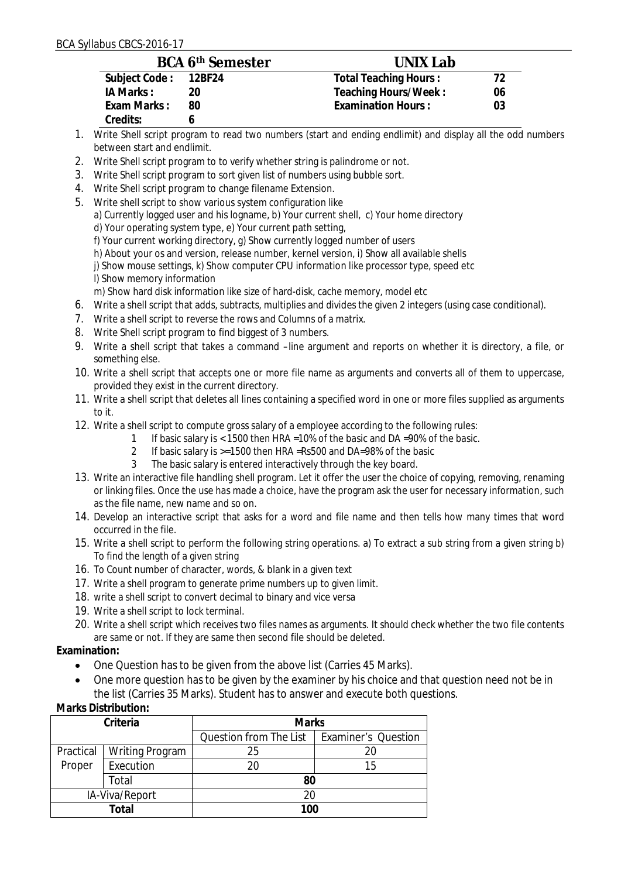|                      | <b>BCA 6th Semester</b> | UNIX Lab                  |    |
|----------------------|-------------------------|---------------------------|----|
| Subject Code: 12BF24 |                         | Total Teaching Hours:     | 72 |
| IA Marks:            | 20                      | Teaching Hours/Week:      | 06 |
| Exam Marks:          | -80                     | <b>Examination Hours:</b> | 03 |
| Credits:             |                         |                           |    |

- 1. Write Shell script program to read two numbers (start and ending endlimit) and display all the odd numbers between start and endlimit.
- 2. Write Shell script program to to verify whether string is palindrome or not.
- 3. Write Shell script program to sort given list of numbers using bubble sort.
- 4. Write Shell script program to change filename Extension.
- 5. Write shell script to show various system configuration like a) Currently logged user and his logname, b) Your current shell, c) Your home directory d) Your operating system type, e) Your current path setting, f) Your current working directory, g) Show currently logged number of users h) About your os and version, release number, kernel version, i) Show all available shells j) Show mouse settings, k) Show computer CPU information like processor type, speed etc l) Show memory information

m) Show hard disk information like size of hard-disk, cache memory, model etc

- 6. Write a shell script that adds, subtracts, multiplies and divides the given 2 integers (using case conditional).
- 7. Write a shell script to reverse the rows and Columns of a matrix.
- 8. Write Shell script program to find biggest of 3 numbers.
- 9. Write a shell script that takes a command –line argument and reports on whether it is directory, a file, or something else.
- 10. Write a shell script that accepts one or more file name as arguments and converts all of them to uppercase, provided they exist in the current directory.
- 11. Write a shell script that deletes all lines containing a specified word in one or more files supplied as arguments to it.
- 12. Write a shell script to compute gross salary of a employee according to the following rules:
	- 1 If basic salary is < 1500 then HRA =10% of the basic and DA =90% of the basic.
	- 2 If basic salary is >=1500 then HRA =Rs500 and DA=98% of the basic
	- 3 The basic salary is entered interactively through the key board.
- 13. Write an interactive file handling shell program. Let it offer the user the choice of copying, removing, renaming or linking files. Once the use has made a choice, have the program ask the user for necessary information, such as the file name, new name and so on.
- 14. Develop an interactive script that asks for a word and file name and then tells how many times that word occurred in the file.
- 15. Write a shell script to perform the following string operations. a) To extract a sub string from a given string b) To find the length of a given string
- 16. To Count number of character, words, & blank in a given text
- 17. Write a shell program to generate prime numbers up to given limit.
- 18. write a shell script to convert decimal to binary and vice versa
- 19. Write a shell script to lock terminal.
- 20. Write a shell script which receives two files names as arguments. It should check whether the two file contents are same or not. If they are same then second file should be deleted.

**Examination:**

- One Question has to be given from the above list (Carries 45 Marks).
- One more question has to be given by the examiner by his choice and that question need not be in the list (Carries 35 Marks). Student has to answer and execute both questions.

| Criteria       |                        | <b>Marks</b>           |                            |  |
|----------------|------------------------|------------------------|----------------------------|--|
|                |                        | Question from The List | <b>Examiner's Question</b> |  |
| Practical      | <b>Writing Program</b> | 25                     | 20                         |  |
| Proper         | Execution              | 20                     | 15                         |  |
| Total          |                        | 80                     |                            |  |
| IA-Viva/Report |                        | 20                     |                            |  |
| Total          |                        | 100                    |                            |  |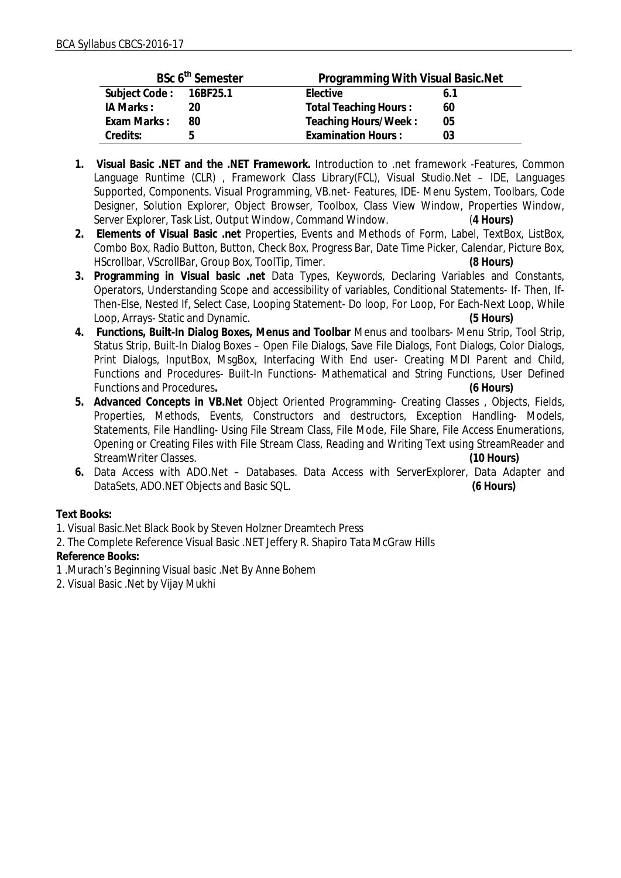|                        | BSc 6 <sup>th</sup> Semester | Programming With Visual Basic. Net |  |
|------------------------|------------------------------|------------------------------------|--|
| Subject Code: 16BF25.1 |                              | Elective<br>6.1                    |  |
| IA Marks:              | 20                           | <b>Total Teaching Hours:</b><br>60 |  |
| Exam Marks:            | 80                           | Teaching Hours/Week:<br>05         |  |
| Credits:               | n                            | <b>Examination Hours:</b><br>03    |  |

- **1. Visual Basic .NET and the .NET Framework.** Introduction to .net framework -Features, Common Language Runtime (CLR) , Framework Class Library(FCL), Visual Studio.Net – IDE, Languages Supported, Components. Visual Programming, VB.net- Features, IDE- Menu System, Toolbars, Code Designer, Solution Explorer, Object Browser, Toolbox, Class View Window, Properties Window, Server Explorer, Task List, Output Window, Command Window. (**4 Hours)**
- **2. Elements of Visual Basic .net** Properties, Events and Methods of Form, Label, TextBox, ListBox, Combo Box, Radio Button, Button, Check Box, Progress Bar, Date Time Picker, Calendar, Picture Box,<br>HScrollbar, VScrollBar, Group Box, ToolTip, Timer.<br>(8 Hours) HScrollbar, VScrollBar, Group Box, ToolTip, Timer.
- **3. Programming in Visual basic .net** Data Types, Keywords, Declaring Variables and Constants, Operators, Understanding Scope and accessibility of variables, Conditional Statements- If- Then, If-Then-Else, Nested If, Select Case, Looping Statement- Do loop, For Loop, For Each-Next Loop, While Loop, Arrays- Static and Dynamic. **(5 Hours)**
- **4. Functions, Built-In Dialog Boxes, Menus and Toolbar** Menus and toolbars- Menu Strip, Tool Strip, Status Strip, Built-In Dialog Boxes – Open File Dialogs, Save File Dialogs, Font Dialogs, Color Dialogs, Print Dialogs, InputBox, MsgBox, Interfacing With End user- Creating MDI Parent and Child, Functions and Procedures- Built-In Functions- Mathematical and String Functions, User Defined Functions and Procedures**. (6 Hours)**
- **5. Advanced Concepts in VB.Net** Object Oriented Programming- Creating Classes , Objects, Fields, Properties, Methods, Events, Constructors and destructors, Exception Handling- Models, Statements, File Handling- Using File Stream Class, File Mode, File Share, File Access Enumerations, Opening or Creating Files with File Stream Class, Reading and Writing Text using StreamReader and StreamWriter Classes. **(10 Hours)**
- **6.** Data Access with ADO.Net Databases. Data Access with ServerExplorer, Data Adapter and DataSets, ADO.NET Objects and Basic SQL. **(6 Hours)**

**Text Books:**

1. Visual Basic.Net Black Book by Steven Holzner Dreamtech Press

2. The Complete Reference Visual Basic .NET Jeffery R. Shapiro Tata McGraw Hills **Reference Books:**

1 .Murach's Beginning Visual basic .Net By Anne Bohem

2. Visual Basic .Net by Vijay Mukhi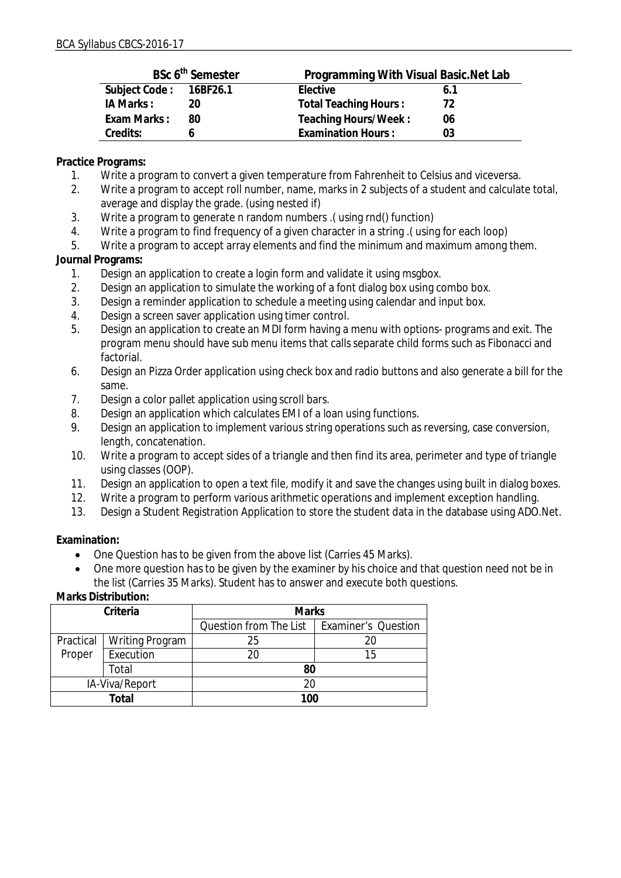|                        | BSc 6 <sup>th</sup> Semester | Programming With Visual Basic. Net Lab |     |
|------------------------|------------------------------|----------------------------------------|-----|
| Subject Code: 16BF26.1 |                              | Elective                               | 6.1 |
| IA Marks:              |                              | Total Teaching Hours:                  | 72  |
| Exam Marks:            | 80                           | Teaching Hours/Week:                   | 06  |
| Credits:               |                              | <b>Examination Hours:</b>              | 03  |

**Practice Programs:**

- 1. Write a program to convert a given temperature from Fahrenheit to Celsius and viceversa.
- 2. Write a program to accept roll number, name, marks in 2 subjects of a student and calculate total, average and display the grade. (using nested if)
- 3. Write a program to generate n random numbers .( using rnd() function)
- 4. Write a program to find frequency of a given character in a string .( using for each loop)

5. Write a program to accept array elements and find the minimum and maximum among them.

### **Journal Programs:**

- 1. Design an application to create a login form and validate it using msgbox.
- 2. Design an application to simulate the working of a font dialog box using combo box.
- 3. Design a reminder application to schedule a meeting using calendar and input box.
- 4. Design a screen saver application using timer control.
- 5. Design an application to create an MDI form having a menu with options- programs and exit. The program menu should have sub menu items that calls separate child forms such as Fibonacci and factorial.
- 6. Design an Pizza Order application using check box and radio buttons and also generate a bill for the same.
- 7. Design a color pallet application using scroll bars.
- 8. Design an application which calculates EMI of a loan using functions.
- 9. Design an application to implement various string operations such as reversing, case conversion, length, concatenation.
- 10. Write a program to accept sides of a triangle and then find its area, perimeter and type of triangle using classes (OOP).
- 11. Design an application to open a text file, modify it and save the changes using built in dialog boxes.
- 12. Write a program to perform various arithmetic operations and implement exception handling.
- 13. Design a Student Registration Application to store the student data in the database using ADO.Net.

**Examination:**

- One Question has to be given from the above list (Carries 45 Marks).
- One more question has to be given by the examiner by his choice and that question need not be in the list (Carries 35 Marks). Student has to answer and execute both questions.

| Criteria       |                 | <b>Marks</b>           |                            |  |
|----------------|-----------------|------------------------|----------------------------|--|
|                |                 | Question from The List | <b>Examiner's Question</b> |  |
| Practical      | Writing Program | 25                     | 20                         |  |
| Proper         | Execution       | 20                     | 15                         |  |
| Total          |                 | 80                     |                            |  |
| IA-Viva/Report |                 | 20                     |                            |  |
| Total          |                 | 100                    |                            |  |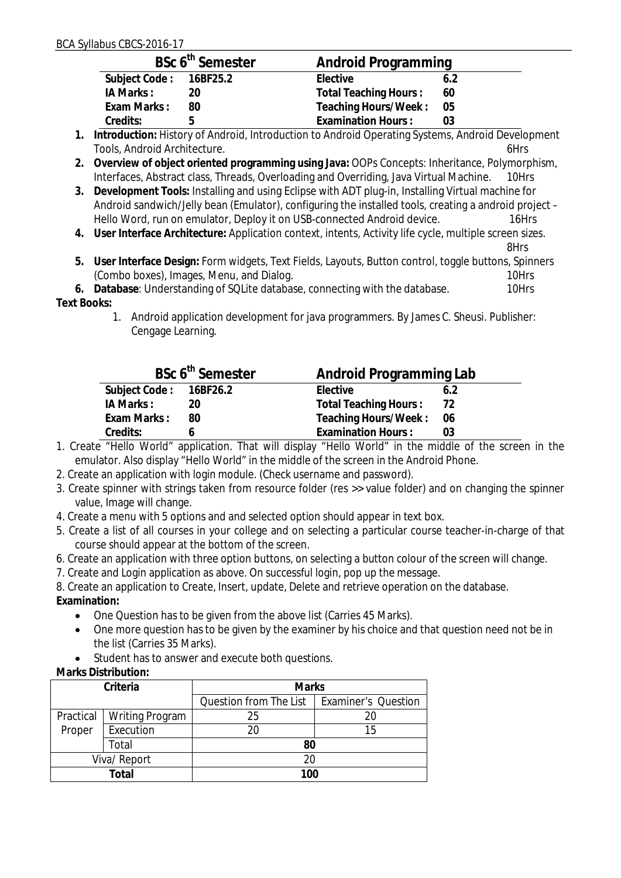|                        | BSc 6 <sup>th</sup> Semester | Android Programming   |      |
|------------------------|------------------------------|-----------------------|------|
| Subject Code: 16BF25.2 |                              | Elective              | 6.2  |
| IA Marks:              | 20                           | Total Teaching Hours: | 60   |
| Exam Marks:            | 80                           | Teaching Hours/Week:  | - 05 |
| Credits:               | h                            | Examination Hours:    | 03   |

- **1. Introduction:** History of Android, Introduction to Android Operating Systems, Android Development Tools, Android Architecture. 6Hrs
- **2. Overview of object oriented programming using Java:** OOPs Concepts: Inheritance, Polymorphism, Interfaces, Abstract class, Threads, Overloading and Overriding, Java Virtual Machine.
- **3. Development Tools:** Installing and using Eclipse with ADT plug-in, Installing Virtual machine for Android sandwich/Jelly bean (Emulator), configuring the installed tools, creating a android project – Hello Word, run on emulator, Deploy it on USB-connected Android device. 16Hrs
- **4. User Interface Architecture:** Application context, intents, Activity life cycle, multiple screen sizes.

8Hrs

- **5. User Interface Design:** Form widgets, Text Fields, Layouts, Button control, toggle buttons, Spinners (Combo boxes), Images, Menu, and Dialog. 10Hrs 10Hrs
- **6. Database**: Understanding of SQLite database, connecting with the database. 10Hrs **Text Books:** 
	- 1. Android application development for java programmers. By James C. Sheusi. Publisher: Cengage Learning.

|                        | BSc 6 <sup>th</sup> Semester | Android Programming Lab   |      |
|------------------------|------------------------------|---------------------------|------|
| Subject Code: 16BF26.2 |                              | Elective                  | 6.2  |
| IA Marks :             | 20                           | Total Teaching Hours:     | 72   |
| Exam Marks:            | 80                           | Teaching Hours/Week:      | - 06 |
| Credits:               |                              | <b>Examination Hours:</b> |      |

- 1. Create "Hello World" application. That will display "Hello World" in the middle of the screen in the emulator. Also display "Hello World" in the middle of the screen in the Android Phone.
- 2. Create an application with login module. (Check username and password).
- 3. Create spinner with strings taken from resource folder (res >> value folder) and on changing the spinner value, Image will change.
- 4. Create a menu with 5 options and and selected option should appear in text box.
- 5. Create a list of all courses in your college and on selecting a particular course teacher-in-charge of that course should appear at the bottom of the screen.
- 6. Create an application with three option buttons, on selecting a button colour of the screen will change.
- 7. Create and Login application as above. On successful login, pop up the message.

8. Create an application to Create, Insert, update, Delete and retrieve operation on the database. **Examination:**

- One Question has to be given from the above list (Carries 45 Marks).
- One more question has to be given by the examiner by his choice and that question need not be in the list (Carries 35 Marks).
- Student has to answer and execute both questions.
- **Marks Distribution:**

| Criteria     |                        | <b>Marks</b>           |                            |
|--------------|------------------------|------------------------|----------------------------|
|              |                        | Question from The List | <b>Examiner's Question</b> |
| Practical    | <b>Writing Program</b> | 25                     |                            |
| Proper       | Execution              | 20                     | 15                         |
|              | Total                  | 80                     |                            |
| Viva/ Report |                        | 20                     |                            |
| Total        |                        | 100                    |                            |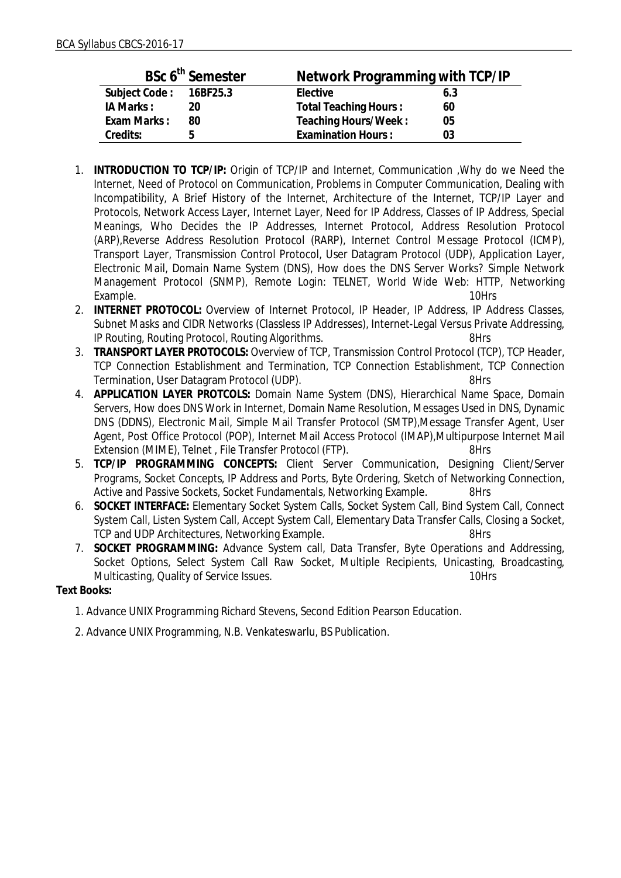| BSc 6 <sup>th</sup> Semester |    | Network Programming with TCP/IP |     |  |
|------------------------------|----|---------------------------------|-----|--|
| Subject Code: 16BF25.3       |    | Elective                        | 6.3 |  |
| IA Marks:                    | 20 | <b>Total Teaching Hours:</b>    | 60  |  |
| Exam Marks:                  | 80 | Teaching Hours/Week:            | 05  |  |
| Credits:                     | h  | <b>Examination Hours:</b>       | 03  |  |

- 1. **INTRODUCTION TO TCP/IP:** Origin of TCP/IP and Internet, Communication ,Why do we Need the Internet, Need of Protocol on Communication, Problems in Computer Communication, Dealing with Incompatibility, A Brief History of the Internet, Architecture of the Internet, TCP/IP Layer and Protocols, Network Access Layer, Internet Layer, Need for IP Address, Classes of IP Address, Special Meanings, Who Decides the IP Addresses, Internet Protocol, Address Resolution Protocol (ARP),Reverse Address Resolution Protocol (RARP), Internet Control Message Protocol (ICMP), Transport Layer, Transmission Control Protocol, User Datagram Protocol (UDP), Application Layer, Electronic Mail, Domain Name System (DNS), How does the DNS Server Works? Simple Network Management Protocol (SNMP), Remote Login: TELNET, World Wide Web: HTTP, Networking Example. 10Hrs
- 2. **INTERNET PROTOCOL:** Overview of Internet Protocol, IP Header, IP Address, IP Address Classes, Subnet Masks and CIDR Networks (Classless IP Addresses), Internet-Legal Versus Private Addressing, IP Routing, Routing Protocol, Routing Algorithms.
- 3. **TRANSPORT LAYER PROTOCOLS:** Overview of TCP, Transmission Control Protocol (TCP), TCP Header, TCP Connection Establishment and Termination, TCP Connection Establishment, TCP Connection Termination, User Datagram Protocol (UDP). 68Hrs
- 4. **APPLICATION LAYER PROTCOLS:** Domain Name System (DNS), Hierarchical Name Space, Domain Servers, How does DNS Work in Internet, Domain Name Resolution, Messages Used in DNS, Dynamic DNS (DDNS), Electronic Mail, Simple Mail Transfer Protocol (SMTP),Message Transfer Agent, User Agent, Post Office Protocol (POP), Internet Mail Access Protocol (IMAP),Multipurpose Internet Mail Extension (MIME), Telnet, File Transfer Protocol (FTP). 8Hrs
- 5. **TCP/IP PROGRAMMING CONCEPTS:** Client Server Communication, Designing Client/Server Programs, Socket Concepts, IP Address and Ports, Byte Ordering, Sketch of Networking Connection, Active and Passive Sockets, Socket Fundamentals, Networking Example. 8Hrs
- 6. **SOCKET INTERFACE:** Elementary Socket System Calls, Socket System Call, Bind System Call, Connect System Call, Listen System Call, Accept System Call, Elementary Data Transfer Calls, Closing a Socket, TCP and UDP Architectures, Networking Example. 69Hrs
- 7. **SOCKET PROGRAMMING:** Advance System call, Data Transfer, Byte Operations and Addressing, Socket Options, Select System Call Raw Socket, Multiple Recipients, Unicasting, Broadcasting, Multicasting, Quality of Service Issues. 10Hrs

**Text Books:**

- 1. Advance UNIX Programming Richard Stevens, Second Edition Pearson Education.
- 2. Advance UNIX Programming, N.B. Venkateswarlu, BS Publication.